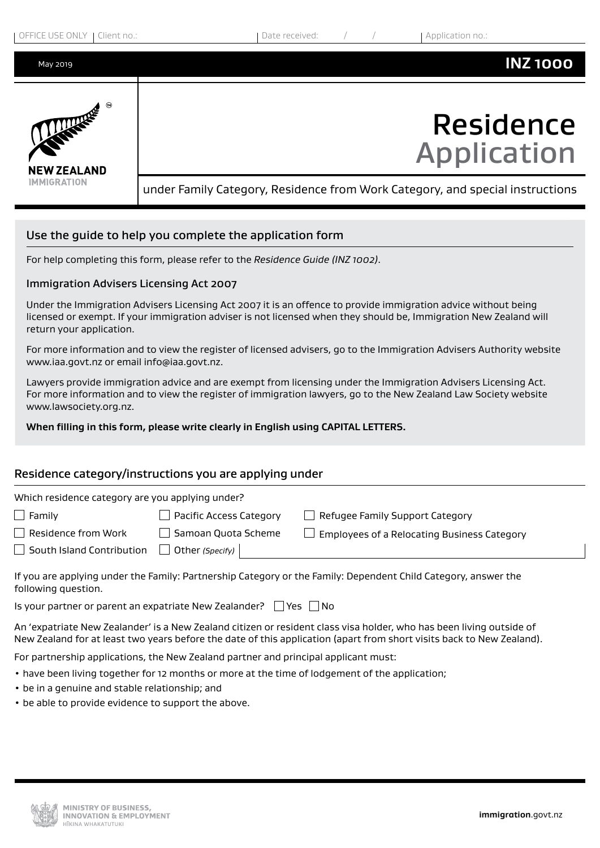| OFFICE USE ONLY<br>Client no.: | Date received:<br>Application no.:                                            |
|--------------------------------|-------------------------------------------------------------------------------|
| May 2019                       | <b>INZ1000</b>                                                                |
| LANDREE<br><b>NEW ZEALAND</b>  | <b>Residence</b><br><b>Application</b>                                        |
| <b>IMMIGRATION</b>             | under Family Category, Residence from Work Category, and special instructions |
|                                | Use the guide to help you complete the application form                       |

For help completing this form, please refer to the *Residence Guide (INZ 1002)*.

## Immigration Advisers Licensing Act 2007

Under the Immigration Advisers Licensing Act 2007 it is an offence to provide immigration advice without being licensed or exempt. If your immigration adviser is not licensed when they should be, Immigration New Zealand will return your application.

For more information and to view the register of licensed advisers, go to the Immigration Advisers Authority website www.iaa.govt.nz or email info@iaa.govt.nz.

Lawyers provide immigration advice and are exempt from licensing under the Immigration Advisers Licensing Act. For more information and to view the register of immigration lawyers, go to the New Zealand Law Society website www.lawsociety.org.nz.

**When filling in this form, please write clearly in English using CAPITAL LETTERS.**

## Residence category/instructions you are applying under

| Which residence category are you applying under? |                                |                                             |  |  |  |
|--------------------------------------------------|--------------------------------|---------------------------------------------|--|--|--|
| $\Box$ Family                                    | $\Box$ Pacific Access Category | Refugee Family Support Category             |  |  |  |
| Residence from Work                              | Samoan Quota Scheme            | Employees of a Relocating Business Category |  |  |  |
| South Island Contribution                        | Other (Specify)                |                                             |  |  |  |
|                                                  |                                |                                             |  |  |  |

If you are applying under the Family: Partnership Category or the Family: Dependent Child Category, answer the following question.

Is your partner or parent an expatriate New Zealander?  $\Box$  Yes  $\Box$  No

An 'expatriate New Zealander' is a New Zealand citizen or resident class visa holder, who has been living outside of New Zealand for at least two years before the date of this application (apart from short visits back to New Zealand).

For partnership applications, the New Zealand partner and principal applicant must:

- have been living together for 12 months or more at the time of lodgement of the application;
- be in a genuine and stable relationship; and
- be able to provide evidence to support the above.

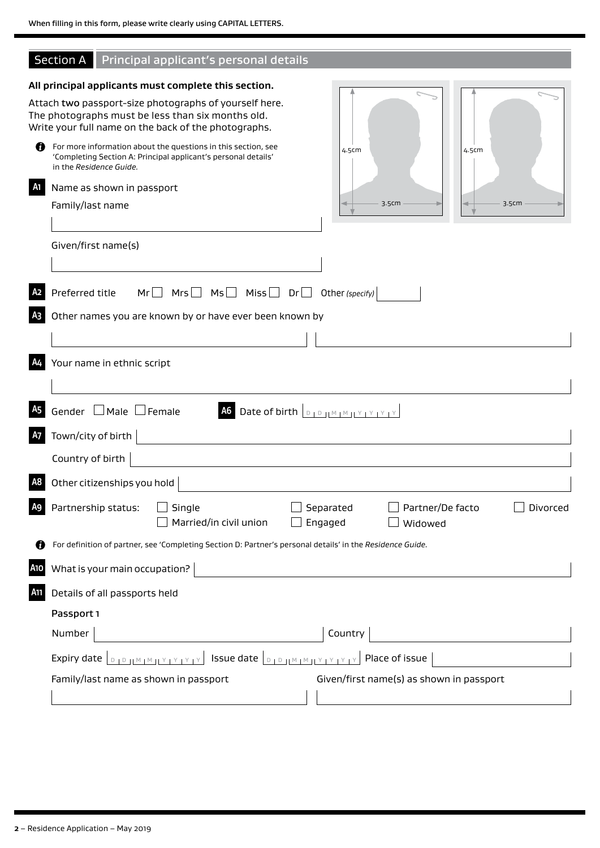I

|  | <b>Section A</b> Principal applicant's personal details |  |
|--|---------------------------------------------------------|--|
|  |                                                         |  |

|                | All principal applicants must complete this section.                                                                                                                         |
|----------------|------------------------------------------------------------------------------------------------------------------------------------------------------------------------------|
|                | Attach two passport-size photographs of yourself here.<br>The photographs must be less than six months old.<br>Write your full name on the back of the photographs.          |
| O              | For more information about the questions in this section, see<br>4.5cm<br>4.5cm<br>'Completing Section A: Principal applicant's personal details'<br>in the Residence Guide. |
| A <sub>1</sub> | Name as shown in passport                                                                                                                                                    |
|                | 3.5cm<br>3.5cm<br>Family/last name                                                                                                                                           |
|                | Given/first name(s)                                                                                                                                                          |
| A <sub>2</sub> | $Mr \t Mrs \t Ms \t Ms$ Miss Dr Other (specify)<br>Preferred title                                                                                                           |
| A <sub>3</sub> | Other names you are known by or have ever been known by                                                                                                                      |
|                |                                                                                                                                                                              |
| A4             | Your name in ethnic script                                                                                                                                                   |
| A <sub>5</sub> | Gender $\Box$ Male $\Box$ Female<br>A6 Date of birth <b>D</b> D IM M IY IY IY IY                                                                                             |
| <b>A7</b>      | Town/city of birth                                                                                                                                                           |
|                | Country of birth                                                                                                                                                             |
| A <sub>8</sub> | Other citizenships you hold                                                                                                                                                  |
| A9             | Partnership status:<br>Partner/De facto<br>Single<br>Separated<br>Divorced<br>$\Box$ Married/in civil union<br>$\Box$ Engaged<br>$\Box$ Widowed                              |
|                | For definition of partner, see 'Completing Section D: Partner's personal details' in the Residence Guide.                                                                    |
| A10            | What is your main occupation?                                                                                                                                                |
| <b>A11</b>     | Details of all passports held                                                                                                                                                |
|                | Passport 1                                                                                                                                                                   |
|                | Country<br>Number                                                                                                                                                            |
|                | <b>DIPINATIVITY SUE date DIPINATIVITY Place of issue</b><br>Expiry date                                                                                                      |
|                | Family/last name as shown in passport<br>Given/first name(s) as shown in passport                                                                                            |
|                |                                                                                                                                                                              |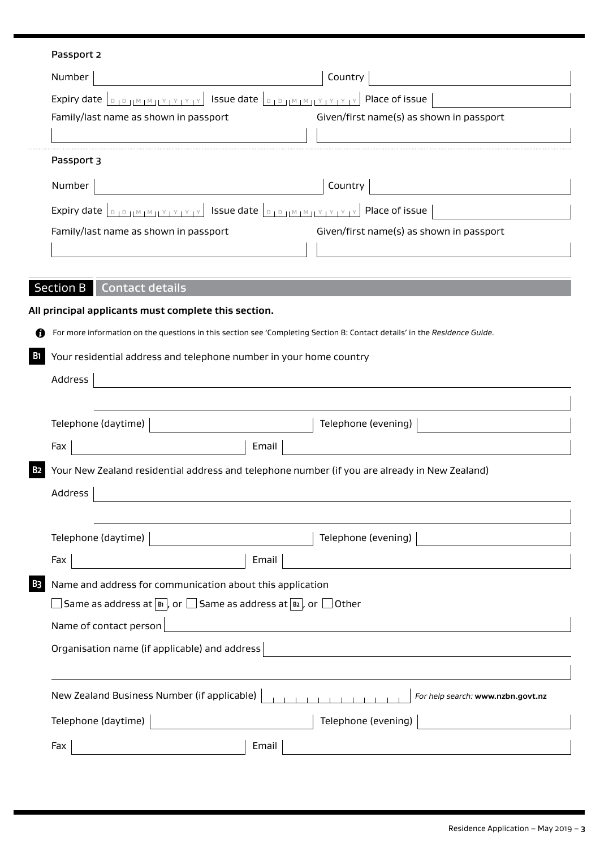## Passport 2

 $\cdots$ 

| Number                                                                  | Country                                  |
|-------------------------------------------------------------------------|------------------------------------------|
| Expiry date<br>Issue date<br>$V + V + V$<br>$\mathbb{F}_{\mathbb{D}}$ . | Place of issue                           |
| Family/last name as shown in passport                                   | Given/first name(s) as shown in passport |
|                                                                         |                                          |
| Passport 3                                                              |                                          |
| Number                                                                  | Country                                  |
| Issue date<br>Expiry date<br>Y I Y                                      | Place of issue                           |
| Family/last name as shown in passport                                   | Given/first name(s) as shown in passport |
|                                                                         |                                          |

# Section B Contact details

|            | All principal applicants must complete this section.                                                                                                   |                                   |  |  |
|------------|--------------------------------------------------------------------------------------------------------------------------------------------------------|-----------------------------------|--|--|
|            | For more information on the questions in this section see 'Completing Section B: Contact details' in the Residence Guide.                              |                                   |  |  |
| <b>B</b> 1 | Your residential address and telephone number in your home country                                                                                     |                                   |  |  |
|            | Address                                                                                                                                                |                                   |  |  |
|            |                                                                                                                                                        |                                   |  |  |
|            | Telephone (daytime)                                                                                                                                    | Telephone (evening)               |  |  |
|            | Email<br>Fax                                                                                                                                           |                                   |  |  |
| B2         | Your New Zealand residential address and telephone number (if you are already in New Zealand)                                                          |                                   |  |  |
|            | Address<br><u> 1989 - Johann Stein, mars an deus Amerikaansk kommunister (</u>                                                                         |                                   |  |  |
|            |                                                                                                                                                        |                                   |  |  |
|            | Telephone (daytime)                                                                                                                                    | Telephone (evening)               |  |  |
|            | Fax<br>Email                                                                                                                                           |                                   |  |  |
| B3         | Name and address for communication about this application                                                                                              |                                   |  |  |
|            | $\Box$ Same as address at $\lceil_{\mathsf{B}\mathsf{I}}\rceil$ , or $\Box$ Same as address at $\lceil_{\mathsf{B}\mathsf{2}}\rceil$ , or $\Box$ Other |                                   |  |  |
|            | Name of contact person                                                                                                                                 |                                   |  |  |
|            | Organisation name (if applicable) and address                                                                                                          |                                   |  |  |
|            |                                                                                                                                                        |                                   |  |  |
|            | New Zealand Business Number (if applicable)                                                                                                            | For help search: www.nzbn.govt.nz |  |  |
|            | Telephone (daytime)                                                                                                                                    | Telephone (evening)               |  |  |
|            | Fax<br>Email                                                                                                                                           |                                   |  |  |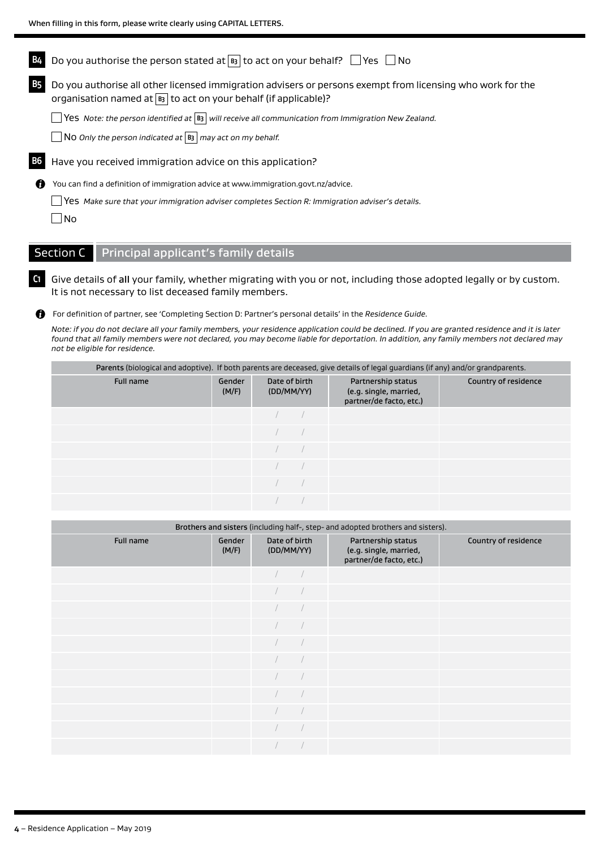|      | Do you authorise the person stated at $\overline{B_3}$ to act on your behalf? $\Box$ Yes $\Box$ No                                                                                      |
|------|-----------------------------------------------------------------------------------------------------------------------------------------------------------------------------------------|
|      | Do you authorise all other licensed immigration advisers or persons exempt from licensing who work for the<br>organisation named at $\boxed{B3}$ to act on your behalf (if applicable)? |
|      | <b>Nes</b> Note: the person identified at $ B_3 $ will receive all communication from Immigration New Zealand.                                                                          |
|      | $\Box$ No Only the person indicated at $\Box$ may act on my behalf.                                                                                                                     |
| B6 I | Have you received immigration advice on this application?                                                                                                                               |
| 61   | You can find a definition of immigration advice at www.immigration.govt.nz/advice.                                                                                                      |
|      | Yes Make sure that your immigration adviser completes Section R: Immigration adviser's details.                                                                                         |
|      | No                                                                                                                                                                                      |
|      |                                                                                                                                                                                         |

# Section C Principal applicant's family details

**C1** Give details of all your family, whether migrating with you or not, including those adopted legally or by custom. It is not necessary to list deceased family members.

For definition of partner, see 'Completing Section D: Partner's personal details' in the *Residence Guide.*

*Note: if you do not declare all your family members, your residence application could be declined. If you are granted residence and it is later found that all family members were not declared, you may become liable for deportation. In addition, any family members not declared may not be eligible for residence.*

|           | Parents (biological and adoptive). If both parents are deceased, give details of legal guardians (if any) and/or grandparents. |                             |  |                                                                         |                      |  |  |
|-----------|--------------------------------------------------------------------------------------------------------------------------------|-----------------------------|--|-------------------------------------------------------------------------|----------------------|--|--|
| Full name | Gender<br>(M/F)                                                                                                                | Date of birth<br>(DD/MM/YY) |  | Partnership status<br>(e.g. single, married,<br>partner/de facto, etc.) | Country of residence |  |  |
|           |                                                                                                                                |                             |  |                                                                         |                      |  |  |
|           |                                                                                                                                |                             |  |                                                                         |                      |  |  |
|           |                                                                                                                                |                             |  |                                                                         |                      |  |  |
|           |                                                                                                                                |                             |  |                                                                         |                      |  |  |
|           |                                                                                                                                |                             |  |                                                                         |                      |  |  |
|           |                                                                                                                                |                             |  |                                                                         |                      |  |  |

| Brothers and sisters (including half-, step- and adopted brothers and sisters). |                 |                             |  |                                                                         |                      |  |
|---------------------------------------------------------------------------------|-----------------|-----------------------------|--|-------------------------------------------------------------------------|----------------------|--|
| Full name                                                                       | Gender<br>(M/F) | Date of birth<br>(DD/MM/YY) |  | Partnership status<br>(e.g. single, married,<br>partner/de facto, etc.) | Country of residence |  |
|                                                                                 |                 |                             |  |                                                                         |                      |  |
|                                                                                 |                 |                             |  |                                                                         |                      |  |
|                                                                                 |                 |                             |  |                                                                         |                      |  |
|                                                                                 |                 |                             |  |                                                                         |                      |  |
|                                                                                 |                 |                             |  |                                                                         |                      |  |
|                                                                                 |                 |                             |  |                                                                         |                      |  |
|                                                                                 |                 |                             |  |                                                                         |                      |  |
|                                                                                 |                 |                             |  |                                                                         |                      |  |
|                                                                                 |                 |                             |  |                                                                         |                      |  |
|                                                                                 |                 |                             |  |                                                                         |                      |  |
|                                                                                 |                 |                             |  |                                                                         |                      |  |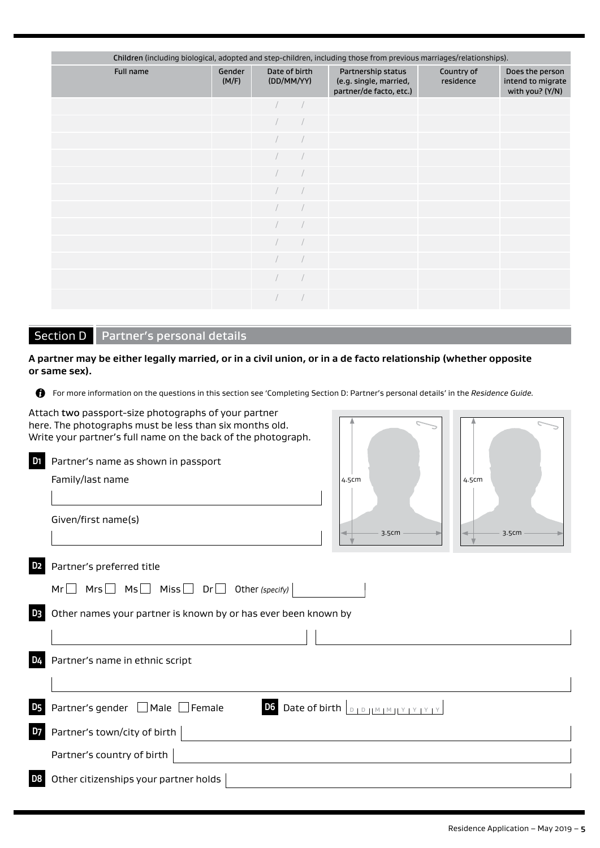| Children (including biological, adopted and step-children, including those from previous marriages/relationships). |                 |  |                             |                                                                         |                         |                                                         |
|--------------------------------------------------------------------------------------------------------------------|-----------------|--|-----------------------------|-------------------------------------------------------------------------|-------------------------|---------------------------------------------------------|
| Full name                                                                                                          | Gender<br>(M/F) |  | Date of birth<br>(DD/MM/YY) | Partnership status<br>(e.g. single, married,<br>partner/de facto, etc.) | Country of<br>residence | Does the person<br>intend to migrate<br>with you? (Y/N) |
|                                                                                                                    |                 |  |                             |                                                                         |                         |                                                         |
|                                                                                                                    |                 |  |                             |                                                                         |                         |                                                         |
|                                                                                                                    |                 |  |                             |                                                                         |                         |                                                         |
|                                                                                                                    |                 |  |                             |                                                                         |                         |                                                         |
|                                                                                                                    |                 |  |                             |                                                                         |                         |                                                         |
|                                                                                                                    |                 |  |                             |                                                                         |                         |                                                         |
|                                                                                                                    |                 |  |                             |                                                                         |                         |                                                         |
|                                                                                                                    |                 |  |                             |                                                                         |                         |                                                         |
|                                                                                                                    |                 |  |                             |                                                                         |                         |                                                         |
|                                                                                                                    |                 |  |                             |                                                                         |                         |                                                         |
|                                                                                                                    |                 |  |                             |                                                                         |                         |                                                         |
|                                                                                                                    |                 |  |                             |                                                                         |                         |                                                         |

# Section D Partner's personal details

**A partner may be either legally married, or in a civil union, or in a de facto relationship (whether opposite or same sex).**

For more information on the questions in this section see 'Completing Section D: Partner's personal details' in the *Residence Guide.* 

|                | Attach two passport-size photographs of your partner<br>here. The photographs must be less than six months old.<br>Write your partner's full name on the back of the photograph. |                                                          |       |
|----------------|----------------------------------------------------------------------------------------------------------------------------------------------------------------------------------|----------------------------------------------------------|-------|
| D <sub>1</sub> | Partner's name as shown in passport                                                                                                                                              |                                                          |       |
|                | Family/last name                                                                                                                                                                 | 4.5cm                                                    | 4.5cm |
|                | Given/first name(s)                                                                                                                                                              | 3.5cm                                                    | 3.5cm |
| D <sub>2</sub> | Partner's preferred title                                                                                                                                                        |                                                          |       |
|                |                                                                                                                                                                                  |                                                          |       |
| D <sub>3</sub> | Other names your partner is known by or has ever been known by                                                                                                                   |                                                          |       |
|                |                                                                                                                                                                                  |                                                          |       |
| D <sub>4</sub> | Partner's name in ethnic script                                                                                                                                                  |                                                          |       |
| <b>D5</b>      | Partner's gender $\Box$ Male $\Box$ Female                                                                                                                                       | D6 Date of birth $D_{\text{DD}}M_{\text{M}}M_{\text{N}}$ |       |
| D7             | Partner's town/city of birth                                                                                                                                                     |                                                          |       |
|                | Partner's country of birth                                                                                                                                                       |                                                          |       |
| D <sub>8</sub> | Other citizenships your partner holds                                                                                                                                            |                                                          |       |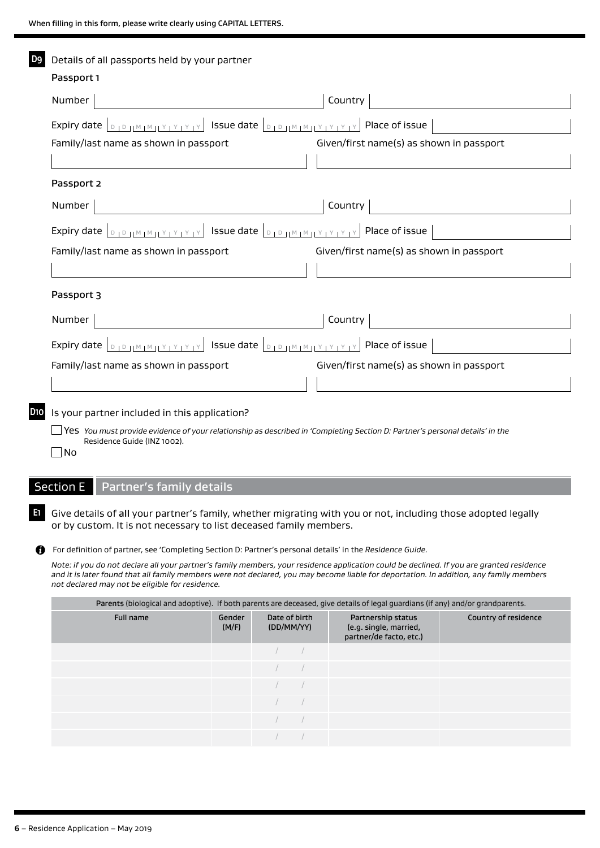| D9  | Details of all passports held by your partner                                                                                                                                              |                                          |
|-----|--------------------------------------------------------------------------------------------------------------------------------------------------------------------------------------------|------------------------------------------|
|     | Passport 1                                                                                                                                                                                 |                                          |
|     | Number                                                                                                                                                                                     | Country                                  |
|     |                                                                                                                                                                                            |                                          |
|     | Family/last name as shown in passport                                                                                                                                                      | Given/first name(s) as shown in passport |
|     |                                                                                                                                                                                            |                                          |
|     | Passport 2                                                                                                                                                                                 |                                          |
|     | Number                                                                                                                                                                                     | Country                                  |
|     | Expiry date $ _{D}$ $_{D}$ $_{H}$ $_{H}$ $_{H}$ $_{H}$ $_{V}$ $_{V}$ $_{V}$ $_{V}$ $_{V}$ issue date $ _{D}$ $_{D}$ $_{H}$ $_{H}$ $_{H}$ $_{V}$ $_{V}$ $_{V}$ $_{V}$ $_{V}$ Place of issue |                                          |
|     | Family/last name as shown in passport                                                                                                                                                      | Given/first name(s) as shown in passport |
|     |                                                                                                                                                                                            |                                          |
|     | Passport 3                                                                                                                                                                                 |                                          |
|     | Number                                                                                                                                                                                     | Country                                  |
|     | Expiry date $ _{D+D+H^M+H^M+Y+Y+Y} $ Issue date $ _{D+D+H^M+H^M+Y+Y+Y}$                                                                                                                    | Place of issue                           |
|     | Family/last name as shown in passport                                                                                                                                                      | Given/first name(s) as shown in passport |
|     |                                                                                                                                                                                            |                                          |
| D10 | Is your partner included in this application?                                                                                                                                              |                                          |
|     | Yes You must provide evidence of your relationship as described in 'Completing Section D: Partner's personal details' in the<br>Residence Guide (INZ 1002).<br> No                         |                                          |

# Section E Partner's family details

**E1** Give details of all your partner's family, whether migrating with you or not, including those adopted legally or by custom. It is not necessary to list deceased family members.

For definition of partner, see 'Completing Section D: Partner's personal details' in the *Residence Guide.*

*Note: if you do not declare all your partner's family members, your residence application could be declined. If you are granted residence and it is later found that all family members were not declared, you may become liable for deportation. In addition, any family members not declared may not be eligible for residence.*

| Parents (biological and adoptive). If both parents are deceased, give details of legal guardians (if any) and/or grandparents. |                 |                             |  |                                                                         |                      |  |
|--------------------------------------------------------------------------------------------------------------------------------|-----------------|-----------------------------|--|-------------------------------------------------------------------------|----------------------|--|
| Full name                                                                                                                      | Gender<br>(M/F) | Date of birth<br>(DD/MM/YY) |  | Partnership status<br>(e.g. single, married,<br>partner/de facto, etc.) | Country of residence |  |
|                                                                                                                                |                 |                             |  |                                                                         |                      |  |
|                                                                                                                                |                 |                             |  |                                                                         |                      |  |
|                                                                                                                                |                 |                             |  |                                                                         |                      |  |
|                                                                                                                                |                 |                             |  |                                                                         |                      |  |
|                                                                                                                                |                 |                             |  |                                                                         |                      |  |
|                                                                                                                                |                 |                             |  |                                                                         |                      |  |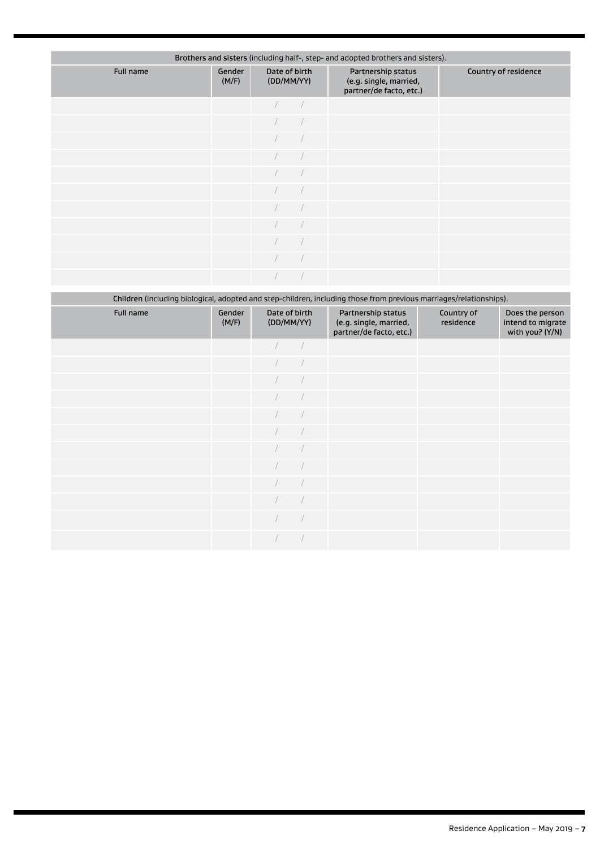| Brothers and sisters (including half-, step- and adopted brothers and sisters). |                 |                             |  |                                                                         |                      |  |
|---------------------------------------------------------------------------------|-----------------|-----------------------------|--|-------------------------------------------------------------------------|----------------------|--|
| Full name                                                                       | Gender<br>(M/F) | Date of birth<br>(DD/MM/YY) |  | Partnership status<br>(e.g. single, married,<br>partner/de facto, etc.) | Country of residence |  |
|                                                                                 |                 |                             |  |                                                                         |                      |  |
|                                                                                 |                 |                             |  |                                                                         |                      |  |
|                                                                                 |                 |                             |  |                                                                         |                      |  |
|                                                                                 |                 |                             |  |                                                                         |                      |  |
|                                                                                 |                 |                             |  |                                                                         |                      |  |
|                                                                                 |                 |                             |  |                                                                         |                      |  |
|                                                                                 |                 |                             |  |                                                                         |                      |  |
|                                                                                 |                 |                             |  |                                                                         |                      |  |
|                                                                                 |                 |                             |  |                                                                         |                      |  |
|                                                                                 |                 |                             |  |                                                                         |                      |  |
|                                                                                 |                 |                             |  |                                                                         |                      |  |

|           | Children (including biological, adopted and step-children, including those from previous marriages/relationships). |  |                             |                                                                         |                         |                                                         |  |
|-----------|--------------------------------------------------------------------------------------------------------------------|--|-----------------------------|-------------------------------------------------------------------------|-------------------------|---------------------------------------------------------|--|
| Full name | Gender<br>(M/F)                                                                                                    |  | Date of birth<br>(DD/MM/YY) | Partnership status<br>(e.g. single, married,<br>partner/de facto, etc.) | Country of<br>residence | Does the person<br>intend to migrate<br>with you? (Y/N) |  |
|           |                                                                                                                    |  |                             |                                                                         |                         |                                                         |  |
|           |                                                                                                                    |  |                             |                                                                         |                         |                                                         |  |
|           |                                                                                                                    |  |                             |                                                                         |                         |                                                         |  |
|           |                                                                                                                    |  |                             |                                                                         |                         |                                                         |  |
|           |                                                                                                                    |  |                             |                                                                         |                         |                                                         |  |
|           |                                                                                                                    |  |                             |                                                                         |                         |                                                         |  |
|           |                                                                                                                    |  |                             |                                                                         |                         |                                                         |  |
|           |                                                                                                                    |  |                             |                                                                         |                         |                                                         |  |
|           |                                                                                                                    |  |                             |                                                                         |                         |                                                         |  |
|           |                                                                                                                    |  |                             |                                                                         |                         |                                                         |  |
|           |                                                                                                                    |  |                             |                                                                         |                         |                                                         |  |
|           |                                                                                                                    |  |                             |                                                                         |                         |                                                         |  |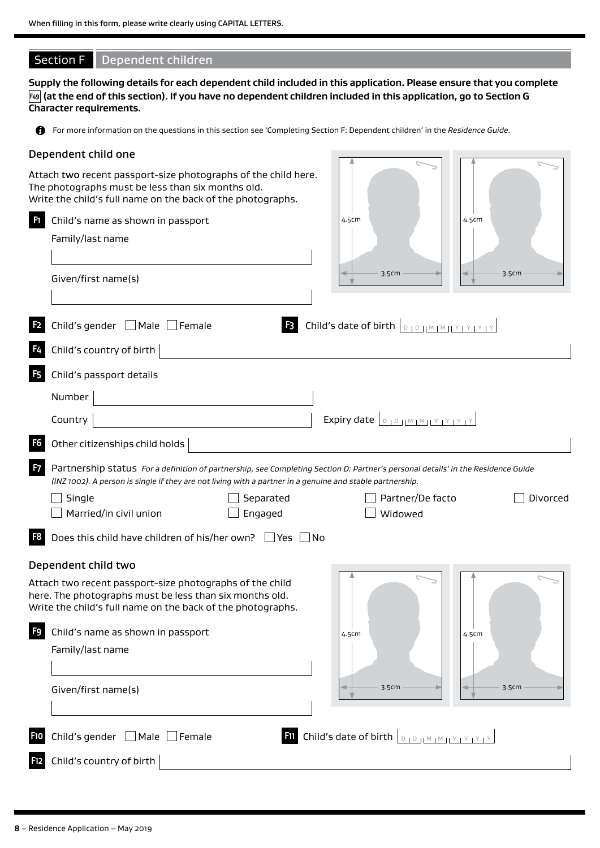# Section F Dependent children

**Supply the following details for each dependent child included in this application. Please ensure that you complete F49 (at the end of this section). If you have no dependent children included in this application, go to Section G Character requirements.**

For more information on the questions in this section see 'Completing Section F: Dependent children' in the *Residence Guide.*

## Dependent child one

Attach two recent passport-size photographs of the child here. The photographs must be less than six months old.

|                | Write the child's full name on the back of the photographs.                                                                                                                                                                                   |                                                                        |       |          |
|----------------|-----------------------------------------------------------------------------------------------------------------------------------------------------------------------------------------------------------------------------------------------|------------------------------------------------------------------------|-------|----------|
| H              | Child's name as shown in passport                                                                                                                                                                                                             | 4.5cm                                                                  | 4.5cm |          |
|                | Family/last name                                                                                                                                                                                                                              |                                                                        |       |          |
|                |                                                                                                                                                                                                                                               |                                                                        |       |          |
|                | Given/first name(s)                                                                                                                                                                                                                           | 3.5cm                                                                  | 3.5cm |          |
|                |                                                                                                                                                                                                                                               |                                                                        |       |          |
| F <sub>2</sub> | Child's gender □ Male □ Female                                                                                                                                                                                                                | <b>B</b> Child's date of birth $\boxed{D + D + M + M + Y + Y + Y + Y}$ |       |          |
| F4             | Child's country of birth                                                                                                                                                                                                                      |                                                                        |       |          |
| <b>F5</b>      | Child's passport details                                                                                                                                                                                                                      |                                                                        |       |          |
|                | Number                                                                                                                                                                                                                                        |                                                                        |       |          |
|                | Country                                                                                                                                                                                                                                       | Expiry date <b>DIDIMMIY YYYY</b>                                       |       |          |
| F <sub>6</sub> | Other citizenships child holds                                                                                                                                                                                                                |                                                                        |       |          |
| F <sub>7</sub> | Partnership status For a definition of partnership, see Completing Section D: Partner's personal details' in the Residence Guide<br>(INZ 1002). A person is single if they are not living with a partner in a genuine and stable partnership. |                                                                        |       |          |
|                | Single<br>Separated                                                                                                                                                                                                                           | Partner/De facto                                                       |       | Divorced |
|                | Married/in civil union<br>Engaged                                                                                                                                                                                                             | Widowed                                                                |       |          |
| F <sub>8</sub> | Does this child have children of his/her own? Ves No                                                                                                                                                                                          |                                                                        |       |          |
|                | Dependent child two                                                                                                                                                                                                                           |                                                                        |       |          |
|                | Attach two recent passport-size photographs of the child                                                                                                                                                                                      |                                                                        |       |          |
|                | here. The photographs must be less than six months old.<br>Write the child's full name on the back of the photographs.                                                                                                                        |                                                                        |       |          |
| F9             | Child's name as shown in passport                                                                                                                                                                                                             | 4.5cm                                                                  | 4.5cm |          |
|                | Family/last name                                                                                                                                                                                                                              |                                                                        |       |          |
|                |                                                                                                                                                                                                                                               |                                                                        |       |          |
|                | Given/first name(s)                                                                                                                                                                                                                           | 3.5cm                                                                  | 3.5cm |          |
|                |                                                                                                                                                                                                                                               |                                                                        |       |          |
| F10            | Child's gender □ Male □ Female                                                                                                                                                                                                                | <b>Filipholic Child's date of birth DEPTIM IMPLATE THE</b>             |       |          |
|                |                                                                                                                                                                                                                                               |                                                                        |       |          |
| <b>F12</b>     | Child's country of birth                                                                                                                                                                                                                      |                                                                        |       |          |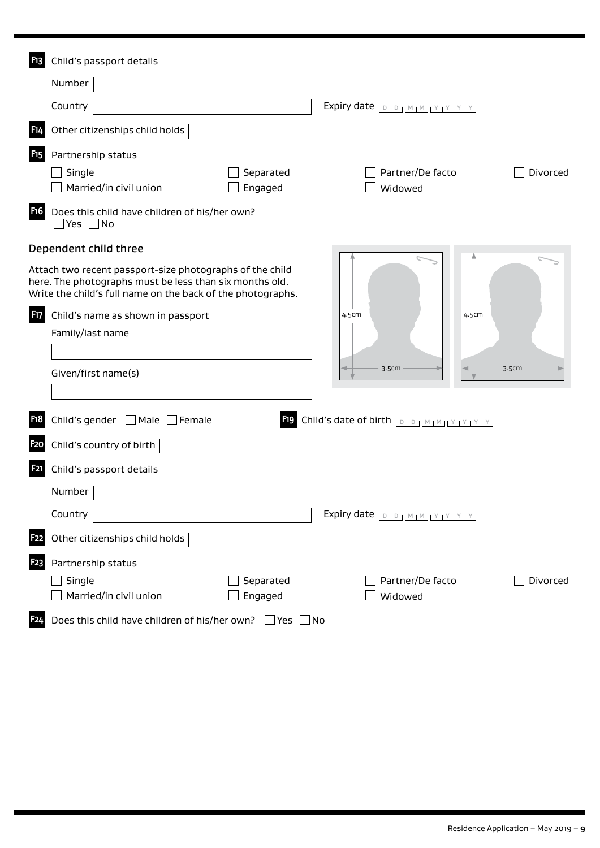| F <sub>13</sub>                     | Child's passport details                                                                                                                                                                                                                                             |                                                                            |
|-------------------------------------|----------------------------------------------------------------------------------------------------------------------------------------------------------------------------------------------------------------------------------------------------------------------|----------------------------------------------------------------------------|
|                                     | Number                                                                                                                                                                                                                                                               |                                                                            |
|                                     | Country                                                                                                                                                                                                                                                              | Expiry date $\boxed{D, D,  M,  M  \times  Y  \times  Y }$                  |
| <b>F14</b>                          | Other citizenships child holds                                                                                                                                                                                                                                       |                                                                            |
| F <sub>15</sub><br>F16              | Partnership status<br>Single<br>Separated<br>Married/in civil union<br>Engaged<br>Does this child have children of his/her own?                                                                                                                                      | Partner/De facto<br>Divorced<br>Widowed                                    |
|                                     | $\Box$ Yes $\Box$ No                                                                                                                                                                                                                                                 |                                                                            |
| <b>F17</b>                          | Dependent child three<br>Attach two recent passport-size photographs of the child<br>here. The photographs must be less than six months old.<br>Write the child's full name on the back of the photographs.<br>Child's name as shown in passport<br>Family/last name | 4.5cm<br>4.5cm                                                             |
|                                     | Given/first name(s)                                                                                                                                                                                                                                                  | 3.5cm<br>3.5cm                                                             |
| F <sub>1</sub> 8<br>F <sub>20</sub> | Child's gender $\Box$ Male $\Box$ Female<br>Child's country of birth                                                                                                                                                                                                 | <b>F19</b> Child's date of birth $\boxed{D + D +  M + M  + Y + Y + Y + Y}$ |
| F21                                 | Child's passport details<br>Number                                                                                                                                                                                                                                   |                                                                            |
|                                     | Country                                                                                                                                                                                                                                                              | Expiry date <b>DOWMMMYYYYY</b>                                             |
| F <sub>22</sub>                     | Other citizenships child holds                                                                                                                                                                                                                                       |                                                                            |
| F <sub>2</sub> 3                    | Partnership status<br>Single<br>Separated<br>Married/in civil union<br>Engaged                                                                                                                                                                                       | Partner/De facto<br>Divorced<br>Widowed                                    |
| F <sub>24</sub>                     | Does this child have children of his/her own? $\Box$ Yes $\Box$ No                                                                                                                                                                                                   |                                                                            |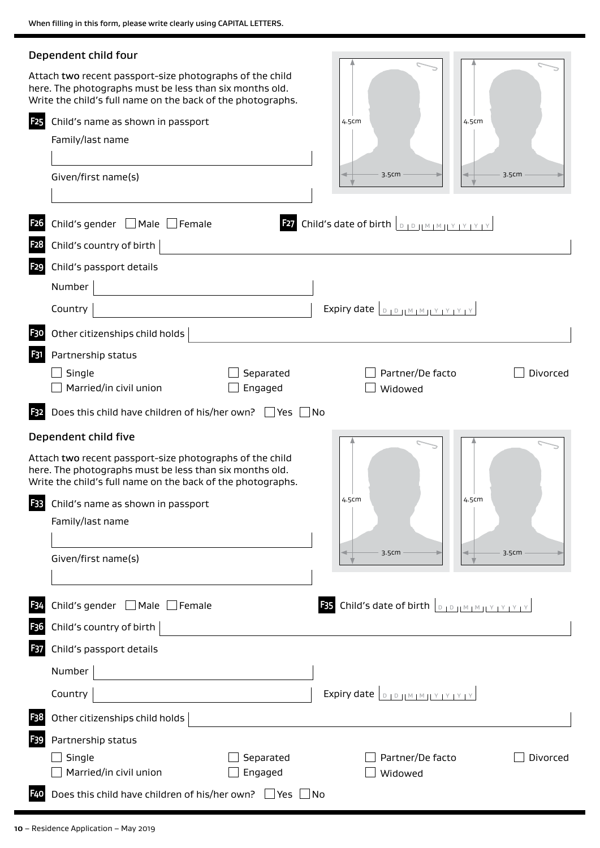|                  | Dependent child four                                                                                                                                                               |                                                                                       |
|------------------|------------------------------------------------------------------------------------------------------------------------------------------------------------------------------------|---------------------------------------------------------------------------------------|
|                  | Attach two recent passport-size photographs of the child<br>here. The photographs must be less than six months old.<br>Write the child's full name on the back of the photographs. |                                                                                       |
| <b>F25</b>       | Child's name as shown in passport                                                                                                                                                  | 4.5cm<br>4.5cm                                                                        |
|                  | Family/last name                                                                                                                                                                   |                                                                                       |
|                  |                                                                                                                                                                                    |                                                                                       |
|                  | Given/first name(s)                                                                                                                                                                | 3.5cm<br>3.5cm                                                                        |
|                  |                                                                                                                                                                                    |                                                                                       |
| F <sub>26</sub>  | Child's gender   Male   Female                                                                                                                                                     | <b>E27</b> Child's date of birth $\left[ \begin{array}{cc} D & D \end{array} \right]$ |
| F <sub>2</sub> 8 | Child's country of birth                                                                                                                                                           |                                                                                       |
| <b>F29</b>       | Child's passport details                                                                                                                                                           |                                                                                       |
|                  | Number                                                                                                                                                                             |                                                                                       |
|                  | Country                                                                                                                                                                            | Expiry date <b>DIDIMMIY</b>                                                           |
| F30              | Other citizenships child holds                                                                                                                                                     |                                                                                       |
| F31              | Partnership status                                                                                                                                                                 |                                                                                       |
|                  | Separated<br>Single                                                                                                                                                                | Partner/De facto<br>Divorced                                                          |
|                  | Married/in civil union<br>Engaged                                                                                                                                                  | Widowed                                                                               |
| F32              | Does this child have children of his/her own? $\Box$ Yes $\Box$ No                                                                                                                 |                                                                                       |
|                  | Dependent child five                                                                                                                                                               |                                                                                       |
|                  | Attach two recent passport-size photographs of the child<br>here. The photographs must be less than six months old.<br>Write the child's full name on the back of the photographs. |                                                                                       |
| F33              | Child's name as shown in passport                                                                                                                                                  | 4.5cm<br>4.5cm                                                                        |
|                  | Family/last name                                                                                                                                                                   |                                                                                       |
|                  |                                                                                                                                                                                    |                                                                                       |
|                  | Given/first name(s)                                                                                                                                                                | 3.5cm<br>3.5cm                                                                        |
|                  |                                                                                                                                                                                    |                                                                                       |
| F <sub>34</sub>  | Child's gender Male Female                                                                                                                                                         | <b>F35</b> Child's date of birth $\boxed{0, 10, 10, 10, 11, 12, 12, 13, 14}$          |
| F <sub>3</sub> 6 | Child's country of birth                                                                                                                                                           |                                                                                       |
| F37              | Child's passport details                                                                                                                                                           |                                                                                       |
|                  | Number                                                                                                                                                                             |                                                                                       |
|                  | Country                                                                                                                                                                            | Expiry date <b>DIDIMMIYYYYY</b>                                                       |
| F <sub>3</sub> 8 | Other citizenships child holds                                                                                                                                                     |                                                                                       |
| F39              | Partnership status                                                                                                                                                                 |                                                                                       |
|                  | Single<br>Separated                                                                                                                                                                | Partner/De facto<br>Divorced                                                          |
|                  | Married/in civil union<br>Engaged                                                                                                                                                  | Widowed                                                                               |
| <b>F40</b>       | Does this child have children of his/her own? $\Box$ Yes $\Box$ No                                                                                                                 |                                                                                       |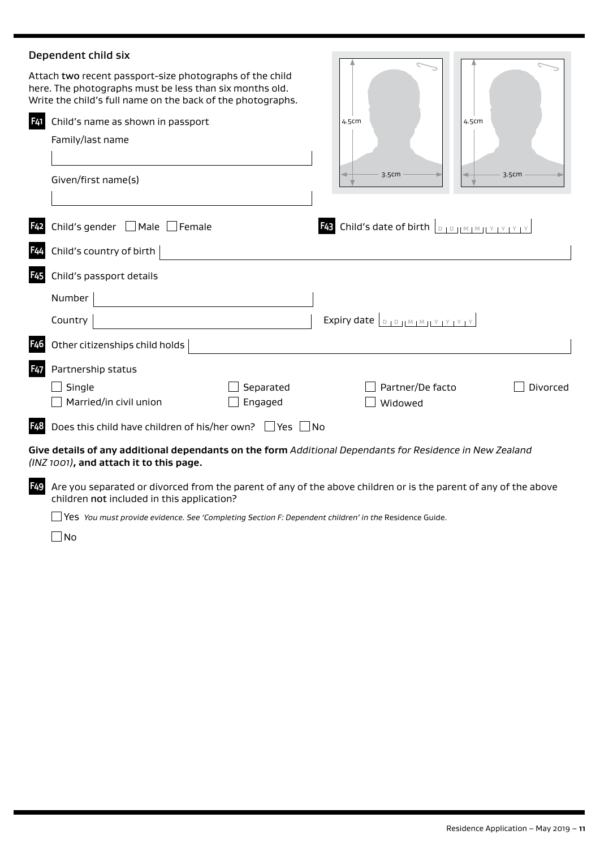# Dependent child six

|                  | Dependent child six                                                                                                                                                                |                      |                                                                           |          |
|------------------|------------------------------------------------------------------------------------------------------------------------------------------------------------------------------------|----------------------|---------------------------------------------------------------------------|----------|
|                  | Attach two recent passport-size photographs of the child<br>here. The photographs must be less than six months old.<br>Write the child's full name on the back of the photographs. |                      |                                                                           |          |
| F41              | Child's name as shown in passport<br>Family/last name                                                                                                                              |                      | 4.5cm                                                                     | 4.5cm    |
|                  | Given/first name(s)                                                                                                                                                                |                      | 3.5cm                                                                     | 3.5cm    |
| F <sub>42</sub>  | Child's gender $\Box$ Male $\Box$<br>$\Box$ Female                                                                                                                                 |                      | <b>F43</b> Child's date of birth $\boxed{D + D +  M + M + Y + Y + Y + Y}$ |          |
| F44              | Child's country of birth                                                                                                                                                           |                      |                                                                           |          |
| F <sub>45</sub>  | Child's passport details                                                                                                                                                           |                      |                                                                           |          |
|                  | Number                                                                                                                                                                             |                      |                                                                           |          |
|                  | Country                                                                                                                                                                            |                      | Expiry date <b>DIDIMMIY</b>                                               |          |
| F <sub>4</sub> 6 | Other citizenships child holds                                                                                                                                                     |                      |                                                                           |          |
| F <sub>47</sub>  | Partnership status                                                                                                                                                                 |                      |                                                                           |          |
|                  | Single<br>Married/in civil union                                                                                                                                                   | Separated<br>Engaged | Partner/De facto<br>Widowed                                               | Divorced |
| <b>F48</b>       | Does this child have children of his/her own? Ves No                                                                                                                               |                      |                                                                           |          |
|                  | Give details of any additional dependants on the form Additional Dependants for Residence in New Zealand<br>(INZ 1001), and attach it to this page.                                |                      |                                                                           |          |
| F <sub>49</sub>  | Are you separated or divorced from the parent of any of the above children or is the parent of any of the above<br>children not included in this application?                      |                      |                                                                           |          |

□ Yes *You must provide evidence. See 'Completing Section F: Dependent children' in the Residence Guide.* 

 $\square$ No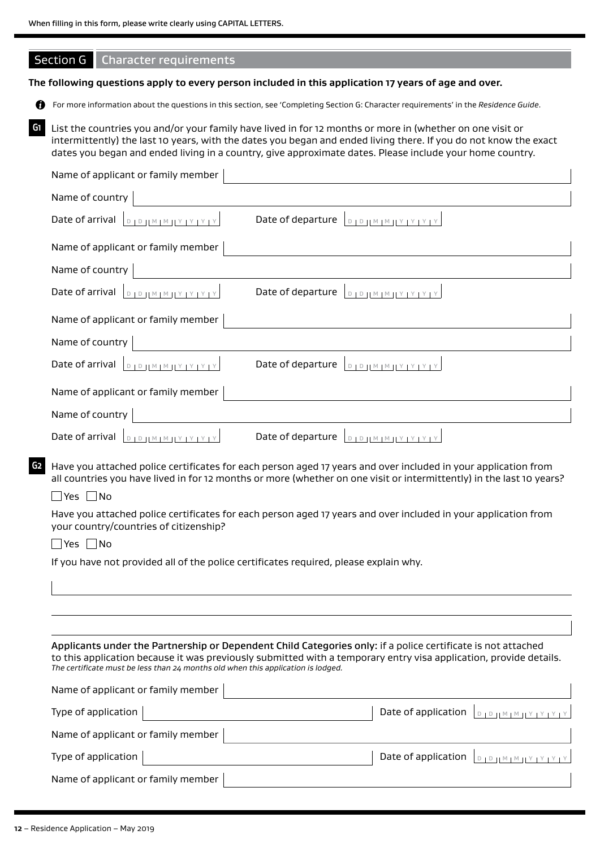# Section G Character requirements

### **The following questions apply to every person included in this application 17 years of age and over.**

For more information about the questions in this section, see 'Completing Section G: Character requirements' in the *Residence Guide*.

**G1** List the countries you and/or your family have lived in for 12 months or more in (whether on one visit or intermittently) the last 10 years, with the dates you began and ended living there. If you do not know the exact dates you began and ended living in a country, give approximate dates. Please include your home country.

| Name of applicant or family member                                                                                                                                                                                                                                                                                    |
|-----------------------------------------------------------------------------------------------------------------------------------------------------------------------------------------------------------------------------------------------------------------------------------------------------------------------|
| Name of country                                                                                                                                                                                                                                                                                                       |
| Date of departure<br>Date of arrival<br>$D + D + H \leq M + M + Y + Y + Y$                                                                                                                                                                                                                                            |
| Name of applicant or family member                                                                                                                                                                                                                                                                                    |
| Name of country                                                                                                                                                                                                                                                                                                       |
| $D + D + M + M + Y + Y + Y + Y$<br>Date of departure<br>Date of arrival<br>$D D D H M M H Y Y Y Y Y Y$                                                                                                                                                                                                                |
| Name of applicant or family member                                                                                                                                                                                                                                                                                    |
| Name of country                                                                                                                                                                                                                                                                                                       |
| Date of arrival<br>Date of departure $\boxed{D, D,  M,  M ,  Y ,  Y ,  Y }$                                                                                                                                                                                                                                           |
| Name of applicant or family member                                                                                                                                                                                                                                                                                    |
| Name of country                                                                                                                                                                                                                                                                                                       |
| Date of arrival $\left[ \begin{array}{c} D & D & M \end{array} \right]$                                                                                                                                                                                                                                               |
| Have you attached police certificates for each person aged 17 years and over included in your application from<br>G2<br>all countries you have lived in for 12 months or more (whether on one visit or intermittently) in the last 10 years?<br>_ Yes □No                                                             |
| Have you attached police certificates for each person aged 17 years and over included in your application from<br>your country/countries of citizenship?                                                                                                                                                              |
| No<br>Yes                                                                                                                                                                                                                                                                                                             |
| If you have not provided all of the police certificates required, please explain why.                                                                                                                                                                                                                                 |
|                                                                                                                                                                                                                                                                                                                       |
|                                                                                                                                                                                                                                                                                                                       |
|                                                                                                                                                                                                                                                                                                                       |
| Applicants under the Partnership or Dependent Child Categories only: if a police certificate is not attached<br>to this application because it was previously submitted with a temporary entry visa application, provide details.<br>The certificate must be less than 24 months old when this application is lodged. |
| Name of applicant or family member                                                                                                                                                                                                                                                                                    |

| Type of application $ $            | Date of application $ _{\text{DIPHM} \text{HMTY} \text{HFTY}} $ |
|------------------------------------|-----------------------------------------------------------------|
| Name of applicant or family member |                                                                 |
| Type of application $ $            | Date of application $\vert_{\text{D1D1M1M1Y1Y1Y1Y}}\vert$       |
| Name of applicant or family member |                                                                 |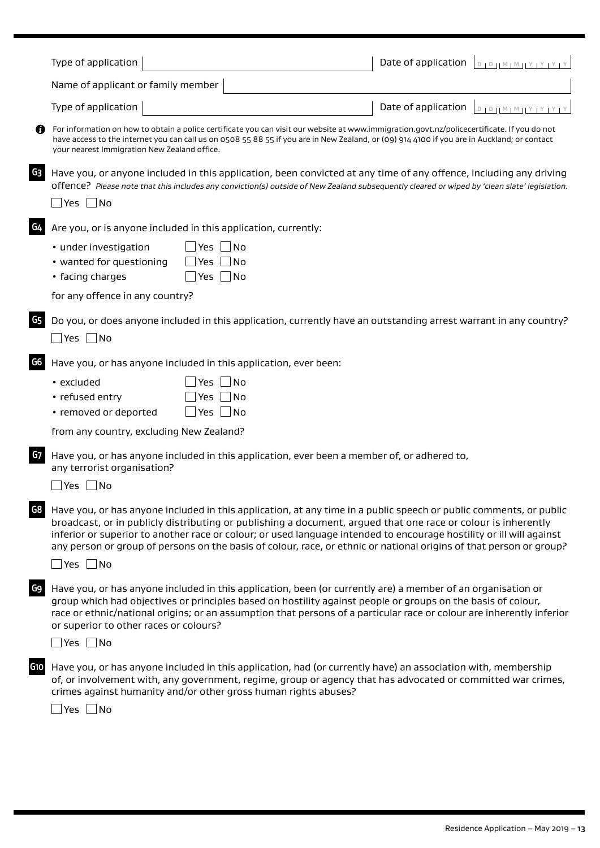|     | Type of application                                                                                                                                                                                                                                                                                                                                                                                                                                                                                           | Date of application<br>$1010 \text{H} \text{M} \text{M} \text{H} \text{Y} \text{I} \text{Y} \text{I} \text{Y} \text{I} \text{Y}$ |
|-----|---------------------------------------------------------------------------------------------------------------------------------------------------------------------------------------------------------------------------------------------------------------------------------------------------------------------------------------------------------------------------------------------------------------------------------------------------------------------------------------------------------------|----------------------------------------------------------------------------------------------------------------------------------|
|     | Name of applicant or family member                                                                                                                                                                                                                                                                                                                                                                                                                                                                            |                                                                                                                                  |
|     | Type of application                                                                                                                                                                                                                                                                                                                                                                                                                                                                                           | Date of application<br>PIP IM IM IY IY IY IY                                                                                     |
|     | For information on how to obtain a police certificate you can visit our website at www.immigration.govt.nz/policecertificate. If you do not<br>have access to the internet you can call us on 0508 55 88 55 if you are in New Zealand, or (09) 914 4100 if you are in Auckland; or contact<br>your nearest Immigration New Zealand office.                                                                                                                                                                    |                                                                                                                                  |
| G3  | Have you, or anyone included in this application, been convicted at any time of any offence, including any driving<br>offence? Please note that this includes any conviction(s) outside of New Zealand subsequently cleared or wiped by 'clean slate' legislation.<br>$Yes \Box No$                                                                                                                                                                                                                           |                                                                                                                                  |
| G4  | Are you, or is anyone included in this application, currently:                                                                                                                                                                                                                                                                                                                                                                                                                                                |                                                                                                                                  |
|     | • under investigation<br>$\blacksquare$ No<br>Yes<br>• wanted for questioning<br> No<br>Yes.<br>• facing charges<br>__  No<br>Yes I                                                                                                                                                                                                                                                                                                                                                                           |                                                                                                                                  |
|     | for any offence in any country?                                                                                                                                                                                                                                                                                                                                                                                                                                                                               |                                                                                                                                  |
| G5  | Do you, or does anyone included in this application, currently have an outstanding arrest warrant in any country?<br>$\Box$ Yes $\Box$ No                                                                                                                                                                                                                                                                                                                                                                     |                                                                                                                                  |
| G6  | Have you, or has anyone included in this application, ever been:                                                                                                                                                                                                                                                                                                                                                                                                                                              |                                                                                                                                  |
|     | $\blacksquare$ No<br>• excluded<br>Yes<br>• refused entry<br>1No<br>Yes<br>• removed or deported<br>Yes $\Box$ No                                                                                                                                                                                                                                                                                                                                                                                             |                                                                                                                                  |
|     | from any country, excluding New Zealand?                                                                                                                                                                                                                                                                                                                                                                                                                                                                      |                                                                                                                                  |
| G7  | Have you, or has anyone included in this application, ever been a member of, or adhered to,<br>any terrorist organisation?<br>Yes $\Box$ No                                                                                                                                                                                                                                                                                                                                                                   |                                                                                                                                  |
| G8  | Have you, or has anyone included in this application, at any time in a public speech or public comments, or public<br>broadcast, or in publicly distributing or publishing a document, argued that one race or colour is inherently<br>inferior or superior to another race or colour; or used language intended to encourage hostility or ill will against<br>any person or group of persons on the basis of colour, race, or ethnic or national origins of that person or group?<br>$\exists$ Yes $\Box$ No |                                                                                                                                  |
| G9  | Have you, or has anyone included in this application, been (or currently are) a member of an organisation or<br>group which had objectives or principles based on hostility against people or groups on the basis of colour,<br>race or ethnic/national origins; or an assumption that persons of a particular race or colour are inherently inferior<br>or superior to other races or colours?<br>$\Box$ Yes $\Box$ No                                                                                       |                                                                                                                                  |
| G10 | Have you, or has anyone included in this application, had (or currently have) an association with, membership<br>of, or involvement with, any government, regime, group or agency that has advocated or committed war crimes,<br>crimes against humanity and/or other gross human rights abuses?<br>_ Yes  _ No                                                                                                                                                                                               |                                                                                                                                  |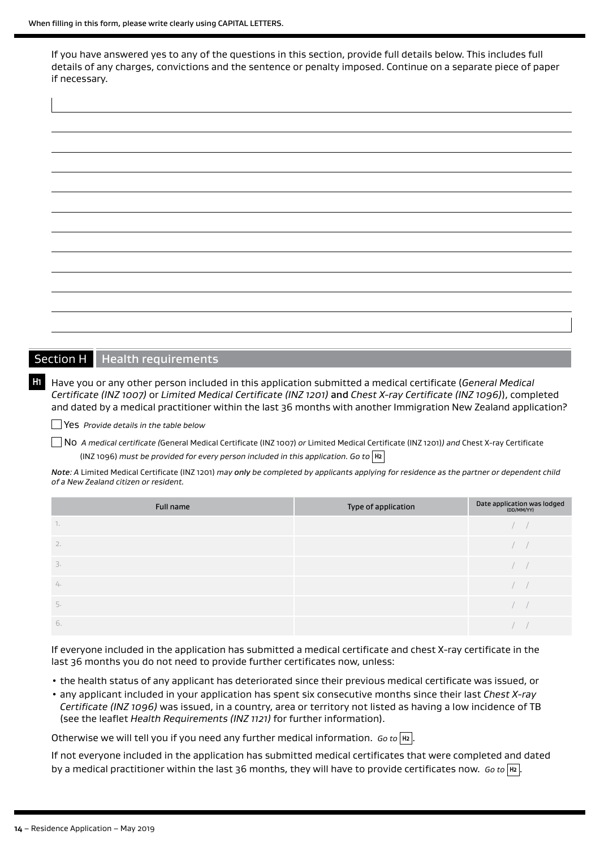$\overline{\phantom{a}}$ 

If you have answered yes to any of the questions in this section, provide full details below. This includes full details of any charges, convictions and the sentence or penalty imposed. Continue on a separate piece of paper if necessary.

| $\overline{\phantom{a}}$ | $\overline{\phantom{0}}$ |
|--------------------------|--------------------------|
|                          |                          |
|                          |                          |
|                          |                          |
|                          |                          |
|                          |                          |
|                          |                          |
|                          |                          |
|                          |                          |
|                          |                          |
|                          |                          |
|                          |                          |
|                          |                          |
|                          |                          |
|                          |                          |
|                          |                          |
|                          |                          |
|                          |                          |
|                          |                          |
|                          |                          |
|                          |                          |
|                          |                          |
|                          |                          |
|                          |                          |
|                          |                          |
|                          |                          |
|                          |                          |
|                          |                          |
|                          |                          |
|                          |                          |
|                          |                          |
|                          |                          |
|                          |                          |
|                          |                          |
|                          |                          |
|                          |                          |
|                          |                          |
|                          |                          |
|                          |                          |
|                          |                          |
|                          |                          |
|                          |                          |
|                          |                          |
|                          |                          |
|                          |                          |
|                          |                          |

## Section H Health requirements

**H1** Have you or any other person included in this application submitted a medical certificate (*General Medical Certificate (INZ 1007)* or *Limited Medical Certificate (INZ 1201)* and *Chest X-ray Certificate (INZ 1096)*), completed and dated by a medical practitioner within the last 36 months with another Immigration New Zealand application?

Yes *Provide details in the table below* 

No *A medical certificate (*General Medical Certificate (INZ 1007) *or* Limited Medical Certificate (INZ 1201)*) and* Chest X-ray Certificate (INZ 1096) *must be provided for every person included in this application. Go to* **H2**

*Note: A* Limited Medical Certificate (INZ 1201) *may only be completed by applicants applying for residence as the partner or dependent child of a New Zealand citizen or resident.*

| Full name        | Type of application | Date application was lodged<br>(DD/MM/YY) |
|------------------|---------------------|-------------------------------------------|
| $\mathbb{R}$     |                     |                                           |
| 2.               |                     |                                           |
| $\overline{3}$ . |                     |                                           |
| 4.               |                     |                                           |
|                  |                     |                                           |
| 6.               |                     |                                           |

If everyone included in the application has submitted a medical certificate and chest X-ray certificate in the last 36 months you do not need to provide further certificates now, unless:

- the health status of any applicant has deteriorated since their previous medical certificate was issued, or
- any applicant included in your application has spent six consecutive months since their last *Chest X-ray Certificate (INZ 1096)* was issued, in a country, area or territory not listed as having a low incidence of TB (see the leaflet *Health Requirements (INZ 1121)* for further information).

Otherwise we will tell you if you need any further medical information. *Go to* **H2** .

If not everyone included in the application has submitted medical certificates that were completed and dated by a medical practitioner within the last 36 months, they will have to provide certificates now. *Go to* **H2** .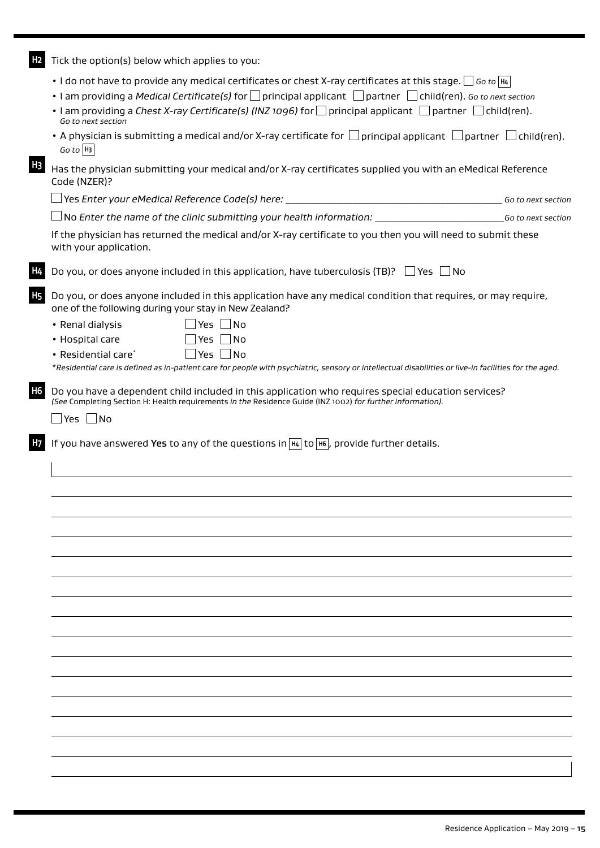**H2** Tick the option(s) below which applies to you:

- I do not have to provide any medical certificates or chest X-ray certificates at this stage.  $\Box$  Go to  $\overline{H4}$
- I am providing a *Medical Certificate(s)* for principal applicant partner child(ren). *Go to next section*
- I am providing a *Chest X-ray Certificate(s) (INZ 1096)* for  $\Box$  principal applicant  $\Box$  partner  $\Box$  child(ren). *Go to next section*
- A physician is submitting a medical and/or X-ray certificate for  $\Box$  principal applicant  $\Box$  partner  $\Box$  child(ren). *Go to* **H3**

**H3** Has the physician submitting your medical and/or X-ray certificates supplied you with an eMedical Reference Code (NZER)?

Yes *Enter your eMedical Reference Code(s) here:* \_\_\_\_\_\_\_\_\_\_\_\_\_\_\_\_\_\_\_\_\_\_\_\_\_\_\_\_\_\_\_\_\_\_\_\_\_\_\_\_\_\_ *Go to next section*

No *Enter the name of the clinic submitting your health information:* \_\_\_\_\_\_\_\_\_\_\_\_\_\_\_\_\_\_\_\_\_\_\_\_\_*Go to next section*

If the physician has returned the medical and/or X-ray certificate to you then you will need to submit these with your application.

Do you, or does anyone included in this application, have tuberculosis (TB)?  $\Box$  Yes  $\Box$  No

**H5** Do you, or does anyone included in this application have any medical condition that requires, or may require, one of the following during your stay in New Zealand?

- Renal dialysis  $\Box$  Yes  $\Box$  No • Hospital care  $\Box$  Yes  $\Box$  No
- Residential care\* $\Box$  Yes  $\Box$  No

*\*Residential care is defined as in-patient care for people with psychiatric, sensory or intellectual disabilities or live-in facilities for the aged.* 

**H6** Do you have a dependent child included in this application who requires special education services? *(See* Completing Section H: Health requirements *in the* Residence Guide (INZ 1002) *for further information).*

 $\Box$  Yes  $\Box$  No

**H7** If you have answered Yes to any of the questions in **H4** to **H6** , provide further details.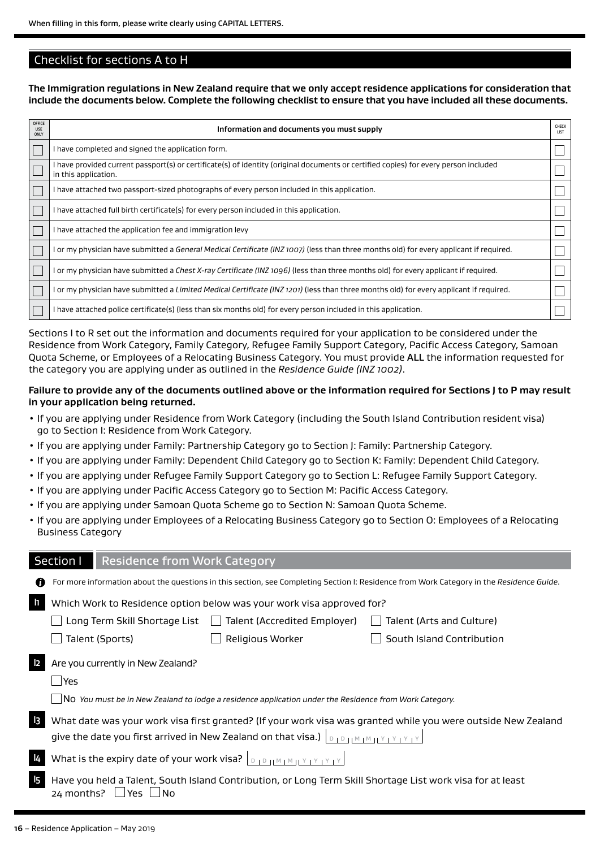## Checklist for sections A to H

**The Immigration regulations in New Zealand require that we only accept residence applications for consideration that include the documents below. Complete the following checklist to ensure that you have included all these documents.**

| OFFICE<br><b>USE</b><br>ONLY | Information and documents you must supply                                                                                                                    | CHECK<br><b>LIST</b> |
|------------------------------|--------------------------------------------------------------------------------------------------------------------------------------------------------------|----------------------|
|                              | I have completed and signed the application form.                                                                                                            |                      |
|                              | l have provided current passport(s) or certificate(s) of identity (original documents or certified copies) for every person included<br>in this application. |                      |
|                              | I have attached two passport-sized photographs of every person included in this application.                                                                 |                      |
|                              | I have attached full birth certificate(s) for every person included in this application.                                                                     |                      |
|                              | I have attached the application fee and immigration levy                                                                                                     |                      |
|                              | l or my physician have submitted a <i>General Medical Certificate (INZ 1007)</i> (less than three months old) for every applicant if required.               |                      |
|                              | l or my physician have submitted a Chest X-ray Certificate (INZ 1096) (less than three months old) for every applicant if required.                          |                      |
|                              | l or my physician have submitted a <i>Limited Medical Certificate (INZ 1201)</i> (less than three months old) for every applicant if required.               |                      |
|                              | l have attached police certificate(s) (less than six months old) for every person included in this application.                                              |                      |

Sections I to R set out the information and documents required for your application to be considered under the Residence from Work Category, Family Category, Refugee Family Support Category, Pacific Access Category, Samoan Quota Scheme, or Employees of a Relocating Business Category. You must provide ALL the information requested for the category you are applying under as outlined in the *Residence Guide (INZ 1002)*.

### **Failure to provide any of the documents outlined above or the information required for Sections J to P may result in your application being returned.**

- If you are applying under Residence from Work Category (including the South Island Contribution resident visa) go to Section I: Residence from Work Category.
- If you are applying under Family: Partnership Category go to Section J: Family: Partnership Category.
- If you are applying under Family: Dependent Child Category go to Section K: Family: Dependent Child Category.
- If you are applying under Refugee Family Support Category go to Section L: Refugee Family Support Category.
- If you are applying under Pacific Access Category go to Section M: Pacific Access Category.
- If you are applying under Samoan Quota Scheme go to Section N: Samoan Quota Scheme.
- If you are applying under Employees of a Relocating Business Category go to Section O: Employees of a Relocating Business Category

## Section I Residence from Work Category

| n              |                                                                                                                                        |                                              | For more information about the questions in this section, see Completing Section I: Residence from Work Category in the Residence Guide. |  |
|----------------|----------------------------------------------------------------------------------------------------------------------------------------|----------------------------------------------|------------------------------------------------------------------------------------------------------------------------------------------|--|
| $\mathbf{I}$   | Which Work to Residence option below was your work visa approved for?                                                                  |                                              |                                                                                                                                          |  |
|                | Long Term Skill Shortage List                                                                                                          | Talent (Accredited Employer)<br>$\mathbf{1}$ | Talent (Arts and Culture)                                                                                                                |  |
|                | Talent (Sports)                                                                                                                        | Religious Worker                             | South Island Contribution                                                                                                                |  |
| $\mathsf{I2}$  | Are you currently in New Zealand?                                                                                                      |                                              |                                                                                                                                          |  |
|                | <b>PYes</b>                                                                                                                            |                                              |                                                                                                                                          |  |
|                | $\Box$ No You must be in New Zealand to lodge a residence application under the Residence from Work Category.                          |                                              |                                                                                                                                          |  |
| $\vert$ 3      | What date was your work visa first granted? (If your work visa was granted while you were outside New Zealand                          |                                              |                                                                                                                                          |  |
|                | give the date you first arrived in New Zealand on that visa.) $\vert_{\text{D}+D}$                                                     |                                              |                                                                                                                                          |  |
| 4              | What is the expiry date of your work visa? $\vert_{\text{DIPHMMINY} \times \text{PIVY}}$                                               |                                              |                                                                                                                                          |  |
| $\overline{5}$ | Have you held a Talent, South Island Contribution, or Long Term Skill Shortage List work visa for at least<br>24 months?<br><b>Yes</b> |                                              |                                                                                                                                          |  |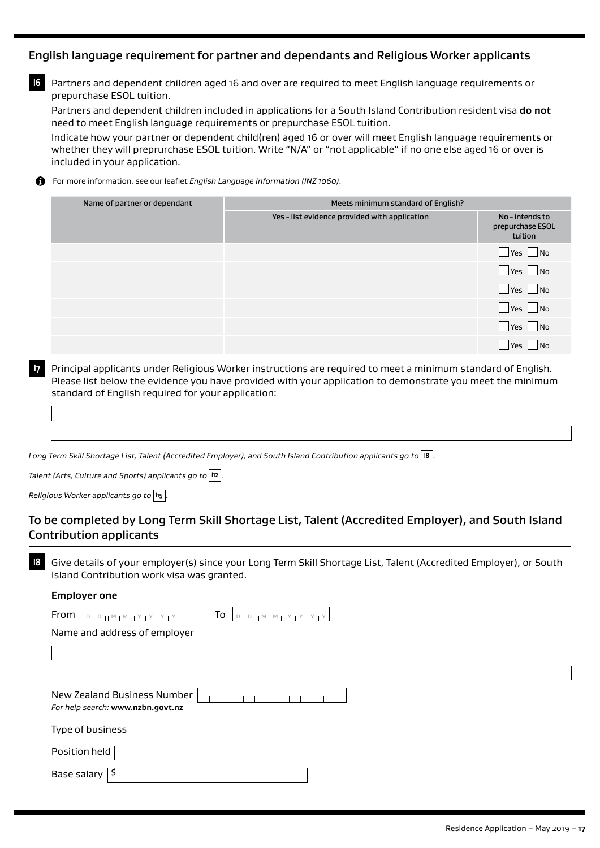## English language requirement for partner and dependants and Religious Worker applicants

**I6** Partners and dependent children aged 16 and over are required to meet English language requirements or prepurchase ESOL tuition.

Partners and dependent children included in applications for a South Island Contribution resident visa **do not** need to meet English language requirements or prepurchase ESOL tuition.

Indicate how your partner or dependent child(ren) aged 16 or over will meet English language requirements or whether they will preprurchase ESOL tuition. Write "N/A" or "not applicable" if no one else aged 16 or over is included in your application.

For more information, see our leaflet *English Language Information (INZ 1060)*. A

| Name of partner or dependant | Meets minimum standard of English?            |                                                |  |
|------------------------------|-----------------------------------------------|------------------------------------------------|--|
|                              | Yes - list evidence provided with application | No - intends to<br>prepurchase ESOL<br>tuition |  |
|                              |                                               | Yes No                                         |  |
|                              |                                               | $\blacksquare$ Yes $\blacksquare$ No           |  |
|                              |                                               | $\Box$ Yes $\Box$ No                           |  |
|                              |                                               | $\Box$ Yes $\Box$ No                           |  |
|                              |                                               | N <sub>0</sub><br>Yes                          |  |
|                              |                                               | l No<br>l Yes                                  |  |

**I7** Principal applicants under Religious Worker instructions are required to meet a minimum standard of English. Please list below the evidence you have provided with your application to demonstrate you meet the minimum standard of English required for your application:

*Long Term Skill Shortage List, Talent (Accredited Employer), and South Island Contribution applicants go to* **I8** *.* 

*Talent (Arts, Culture and Sports) applicants go to* **I12** *.*

*Religious Worker applicants go to* |  $\text{II}_5$  |

# To be completed by Long Term Skill Shortage List, Talent (Accredited Employer), and South Island Contribution applicants

**I8** Give details of your employer(s) since your Long Term Skill Shortage List, Talent (Accredited Employer), or South Island Contribution work visa was granted.

#### **Employer one**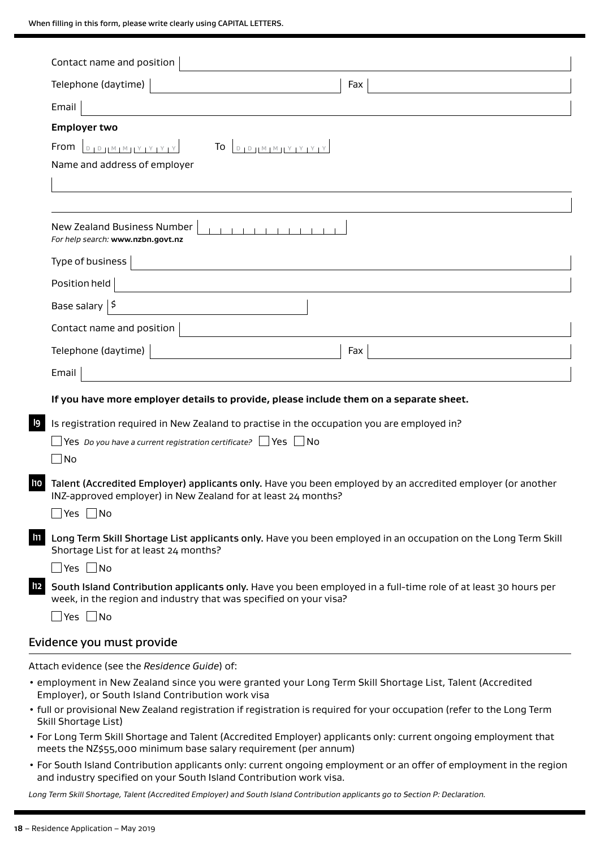|                | Contact name and position                                                                                                                                                                                                           |
|----------------|-------------------------------------------------------------------------------------------------------------------------------------------------------------------------------------------------------------------------------------|
|                | Telephone (daytime)<br>Fax                                                                                                                                                                                                          |
|                | Email                                                                                                                                                                                                                               |
|                | <b>Employer two</b><br>$D D D M M M Y Y Y Y Y$<br>From<br>$D + D + M + M + Y + Y + Y + Y$<br>To<br>Name and address of employer                                                                                                     |
|                | New Zealand Business Number<br><b>TELEVISION</b><br>For help search: www.nzbn.govt.nz                                                                                                                                               |
|                | Type of business                                                                                                                                                                                                                    |
|                | Position held<br><u> 1989 - Andrea State Barbara, política establece</u>                                                                                                                                                            |
|                | Base salary $ 5$                                                                                                                                                                                                                    |
|                | Contact name and position                                                                                                                                                                                                           |
|                | Telephone (daytime)<br>Fax                                                                                                                                                                                                          |
|                | Email                                                                                                                                                                                                                               |
|                | If you have more employer details to provide, please include them on a separate sheet.                                                                                                                                              |
| l9             | Is registration required in New Zealand to practise in the occupation you are employed in?<br>Nes Do you have a current registration certificate? $\Box$ Yes $\Box$ No<br>$ $ No                                                    |
| <b>110</b>     | Talent (Accredited Employer) applicants only. Have you been employed by an accredited employer (or another<br>INZ-approved employer) in New Zealand for at least 24 months?<br>$\Box$ Yes $\Box$ No                                 |
| $\blacksquare$ | Long Term Skill Shortage List applicants only. Have you been employed in an occupation on the Long Term Skill<br>Shortage List for at least 24 months?                                                                              |
| 112            | $\Box$ Yes $\Box$ No<br>South Island Contribution applicants only. Have you been employed in a full-time role of at least 30 hours per<br>week, in the region and industry that was specified on your visa?<br>$\Box$ Yes $\Box$ No |
|                | Evidence you must provide                                                                                                                                                                                                           |
|                | Attach evidence (see the Residence Guide) of:                                                                                                                                                                                       |
|                | . employment in New Zealand since you were granted your Long Term Skill Shortage List, Talent (Accredited<br>Employer), or South Island Contribution work visa                                                                      |
|                | • full or provisional New Zealand registration if registration is required for your occupation (refer to the Long Term<br>Skill Shortage List)                                                                                      |
|                | • For Long Term Skill Shortage and Talent (Accredited Employer) applicants only: current ongoing employment that<br>meets the NZ\$55,000 minimum base salary requirement (per annum)                                                |
|                | • For South Island Contribution applicants only: current ongoing employment or an offer of employment in the region                                                                                                                 |

and industry specified on your South Island Contribution work visa.

*Long Term Skill Shortage, Talent (Accredited Employer) and South Island Contribution applicants go to Section P: Declaration.*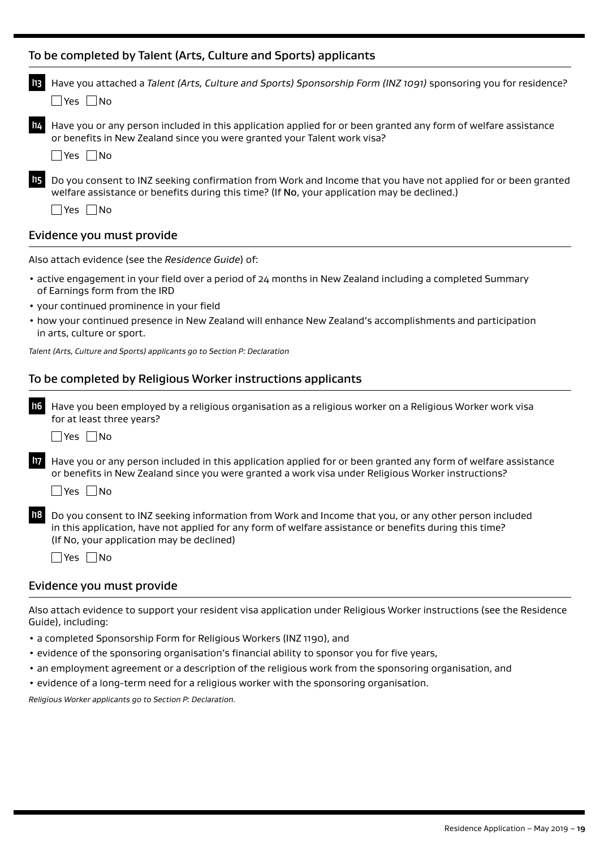|                           | Have you attached a Talent (Arts, Culture and Sports) Sponsorship Form (INZ 1091) sponsoring you for residence?                                                                                                           |  |
|---------------------------|---------------------------------------------------------------------------------------------------------------------------------------------------------------------------------------------------------------------------|--|
|                           | $ N_{\Omega}$<br>l Yes l                                                                                                                                                                                                  |  |
|                           | Have you or any person included in this application applied for or been granted any form of welfare assistance<br>or benefits in New Zealand since you were granted your Talent work visa?<br>   Yes    No                |  |
|                           | Do you consent to INZ seeking confirmation from Work and Income that you have not applied for or been granted<br>welfare assistance or benefits during this time? (If No, your application may be declined.)<br> Yes   No |  |
| Evidence you must provide |                                                                                                                                                                                                                           |  |

Also attach evidence (see the *Residence Guide*) of:

- active engagement in your field over a period of 24 months in New Zealand including a completed Summary of Earnings form from the IRD
- your continued prominence in your field
- how your continued presence in New Zealand will enhance New Zealand's accomplishments and participation in arts, culture or sport.

*Talent (Arts, Culture and Sports) applicants go to Section P: Declaration*

## To be completed by Religious Worker instructions applicants

**I16** Have you been employed by a religious organisation as a religious worker on a Religious Worker work visa for at least three years?

 $\Box$ Yes  $\Box$ No

**I17** Have you or any person included in this application applied for or been granted any form of welfare assistance or benefits in New Zealand since you were granted a work visa under Religious Worker instructions?

 $\Box$ Yes  $\Box$ No

**I18** Do you consent to INZ seeking information from Work and Income that you, or any other person included in this application, have not applied for any form of welfare assistance or benefits during this time? (If No, your application may be declined)

 $\Box$ Yes  $\Box$ No

### Evidence you must provide

Also attach evidence to support your resident visa application under Religious Worker instructions (see the Residence Guide), including:

- a completed Sponsorship Form for Religious Workers (INZ 1190), and
- evidence of the sponsoring organisation's financial ability to sponsor you for five years,
- an employment agreement or a description of the religious work from the sponsoring organisation, and
- evidence of a long-term need for a religious worker with the sponsoring organisation.

*Religious Worker applicants go to Section P: Declaration.*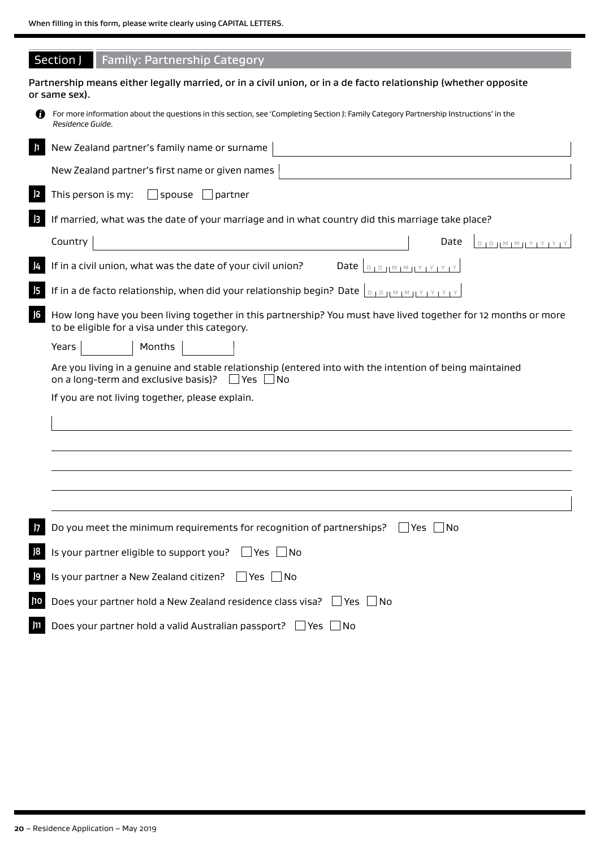|                | Section J<br><b>Family: Partnership Category</b>                                                                                                                      |
|----------------|-----------------------------------------------------------------------------------------------------------------------------------------------------------------------|
|                | Partnership means either legally married, or in a civil union, or in a de facto relationship (whether opposite<br>or same sex).                                       |
|                | For more information about the questions in this section, see 'Completing Section J: Family Category Partnership Instructions' in the<br>Residence Guide.             |
| $\mathbf{I}$   | New Zealand partner's family name or surname                                                                                                                          |
|                | New Zealand partner's first name or given names                                                                                                                       |
| 2              | This person is my:<br>$\Box$ spouse $\Box$ partner                                                                                                                    |
| $\overline{3}$ | If married, what was the date of your marriage and in what country did this marriage take place?                                                                      |
|                | Country<br>Date<br>$D \parallel D \parallel M \parallel M \parallel Y \parallel Y \parallel Y \parallel$                                                              |
| $\frac{1}{4}$  | If in a civil union, what was the date of your civil union?                                                                                                           |
| 15             |                                                                                                                                                                       |
| J <sub>6</sub> | How long have you been living together in this partnership? You must have lived together for 12 months or more<br>to be eligible for a visa under this category.      |
|                | Years<br>Months                                                                                                                                                       |
|                | Are you living in a genuine and stable relationship (entered into with the intention of being maintained<br>on a long-term and exclusive basis)? $\Box$ Yes $\Box$ No |
|                | If you are not living together, please explain.                                                                                                                       |
|                |                                                                                                                                                                       |
|                |                                                                                                                                                                       |
|                |                                                                                                                                                                       |
|                |                                                                                                                                                                       |
|                |                                                                                                                                                                       |
| 7              | Do you meet the minimum requirements for recognition of partnerships?<br>Yes<br>1 No                                                                                  |
| 8              | Is your partner eligible to support you?<br>$\Box$ Yes<br>$\Box$ No                                                                                                   |
| $\overline{9}$ | Is your partner a New Zealand citizen?<br>│ Yes │ No                                                                                                                  |
| J10            | Does your partner hold a New Zealand residence class visa? □ Yes □ No                                                                                                 |
| J11            | Does your partner hold a valid Australian passport? Ves No                                                                                                            |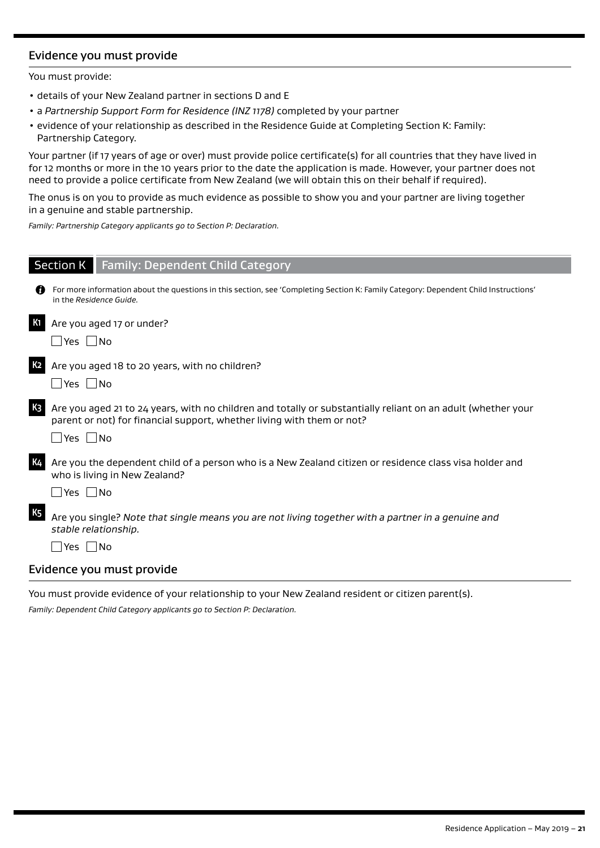# Evidence you must provide

You must provide:

- details of your New Zealand partner in sections D and E
- a *Partnership Support Form for Residence (INZ 1178)* completed by your partner
- evidence of your relationship as described in the Residence Guide at Completing Section K: Family: Partnership Category.

Your partner (if 17 years of age or over) must provide police certificate(s) for all countries that they have lived in for 12 months or more in the 10 years prior to the date the application is made. However, your partner does not need to provide a police certificate from New Zealand (we will obtain this on their behalf if required).

The onus is on you to provide as much evidence as possible to show you and your partner are living together in a genuine and stable partnership.

*Family: Partnership Category applicants go to Section P: Declaration.*

|                           | <b>Section K</b> Family: Dependent Child Category                                                                                                                                                              |  |  |
|---------------------------|----------------------------------------------------------------------------------------------------------------------------------------------------------------------------------------------------------------|--|--|
|                           | For more information about the questions in this section, see 'Completing Section K: Family Category: Dependent Child Instructions'<br>in the Residence Guide.                                                 |  |  |
| <b>K1</b>                 | Are you aged 17 or under?<br>Yes No                                                                                                                                                                            |  |  |
| K <sub>2</sub>            | Are you aged 18 to 20 years, with no children?<br> Yes   No                                                                                                                                                    |  |  |
| K3                        | Are you aged 21 to 24 years, with no children and totally or substantially reliant on an adult (whether your<br>parent or not) for financial support, whether living with them or not?<br>$\Box$ Yes $\Box$ No |  |  |
| <b>K4</b>                 | Are you the dependent child of a person who is a New Zealand citizen or residence class visa holder and<br>who is living in New Zealand?<br>_ Yes  _ No                                                        |  |  |
| K <sub>5</sub>            | Are you single? Note that single means you are not living together with a partner in a genuine and<br>stable relationship.<br> Yes    No                                                                       |  |  |
| Evidence you must provide |                                                                                                                                                                                                                |  |  |

You must provide evidence of your relationship to your New Zealand resident or citizen parent(s).

*Family: Dependent Child Category applicants go to Section P: Declaration.*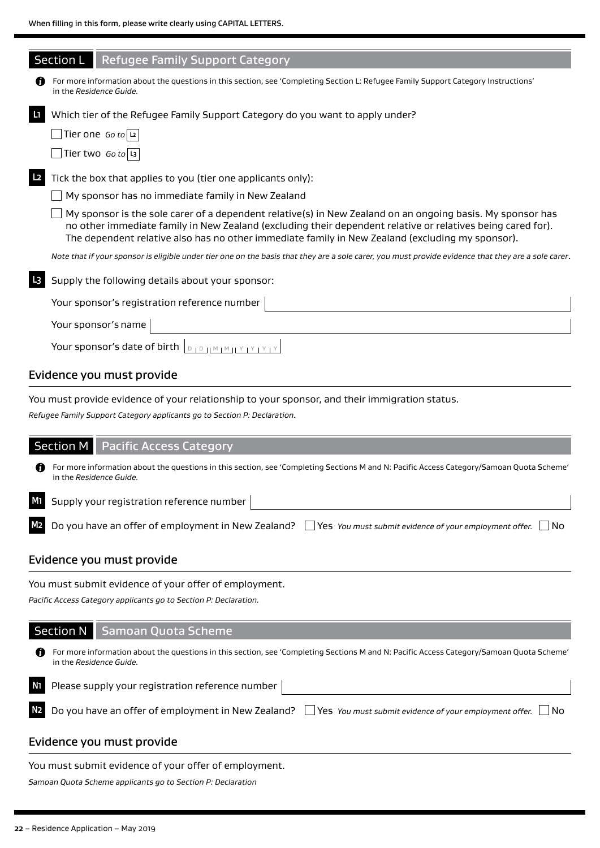|                | <b>Section L</b><br><b>Refugee Family Support Category</b>                                                                                                                                                                                                                                                                    |
|----------------|-------------------------------------------------------------------------------------------------------------------------------------------------------------------------------------------------------------------------------------------------------------------------------------------------------------------------------|
| 61             | For more information about the questions in this section, see 'Completing Section L: Refugee Family Support Category Instructions'<br>in the Residence Guide.                                                                                                                                                                 |
| $\mathbf{L}$   | Which tier of the Refugee Family Support Category do you want to apply under?                                                                                                                                                                                                                                                 |
|                | $\sqrt{\frac{1}{1}}$ Tier one Goto $\sqrt{2}$                                                                                                                                                                                                                                                                                 |
|                | Tier two Go to L3                                                                                                                                                                                                                                                                                                             |
| L <sub>2</sub> | Tick the box that applies to you (tier one applicants only):                                                                                                                                                                                                                                                                  |
|                | My sponsor has no immediate family in New Zealand                                                                                                                                                                                                                                                                             |
|                | My sponsor is the sole carer of a dependent relative(s) in New Zealand on an ongoing basis. My sponsor has<br>no other immediate family in New Zealand (excluding their dependent relative or relatives being cared for).<br>The dependent relative also has no other immediate family in New Zealand (excluding my sponsor). |
|                | Note that if your sponsor is eligible under tier one on the basis that they are a sole carer, you must provide evidence that they are a sole carer.                                                                                                                                                                           |
| L <sub>3</sub> | Supply the following details about your sponsor:                                                                                                                                                                                                                                                                              |
|                | Your sponsor's registration reference number                                                                                                                                                                                                                                                                                  |
|                | Your sponsor's name                                                                                                                                                                                                                                                                                                           |
|                | Your sponsor's date of birth<br>$D + D + M + M + Y +$                                                                                                                                                                                                                                                                         |
|                |                                                                                                                                                                                                                                                                                                                               |

## Evidence you must provide

You must provide evidence of your relationship to your sponsor, and their immigration status.

*Refugee Family Support Category applicants go to Section P: Declaration.*

|                | Section M   Pacific Access Category                                                                                                                                 |
|----------------|---------------------------------------------------------------------------------------------------------------------------------------------------------------------|
| 61             | For more information about the questions in this section, see 'Completing Sections M and N: Pacific Access Category/Samoan Quota Scheme'<br>in the Residence Guide. |
| M <sub>1</sub> | Supply your registration reference number                                                                                                                           |
| M <sub>2</sub> | Do you have an offer of employment in New Zealand? $\Box$ Yes You must submit evidence of your employment offer. $\Box$ No                                          |
|                |                                                                                                                                                                     |

## Evidence you must provide

You must submit evidence of your offer of employment.

*Pacific Access Category applicants go to Section P: Declaration.*

## Section N Samoan Quota Scheme

For more information about the questions in this section, see 'Completing Sections M and N: Pacific Access Category/Samoan Quota Scheme' in the *Residence Guide.*

| $\overline{\text{M}}$ Please supply your registration reference number                                                                    |  |
|-------------------------------------------------------------------------------------------------------------------------------------------|--|
| N <sub>2</sub> Do you have an offer of employment in New Zealand? $\Box$ Yes You must submit evidence of your employment offer. $\Box$ No |  |

## Evidence you must provide

You must submit evidence of your offer of employment.

*Samoan Quota Scheme applicants go to Section P: Declaration*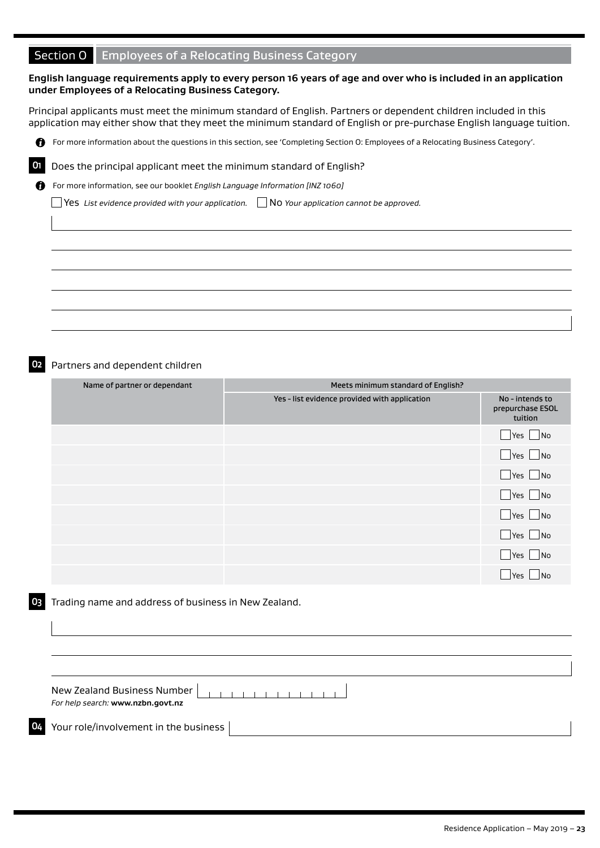# Section O Employees of a Relocating Business Category

#### **English language requirements apply to every person 16 years of age and over who is included in an application under Employees of a Relocating Business Category.**

Principal applicants must meet the minimum standard of English. Partners or dependent children included in this application may either show that they meet the minimum standard of English or pre-purchase English language tuition.

For more information about the questions in this section, see 'Completing Section O: Employees of a Relocating Business Category'.



**O1** Does the principal applicant meet the minimum standard of English?

A For more information, see our booklet *English Language Information [INZ 1060]*

Yes *List evidence provided with your application.* No *Your application cannot be approved.*

#### **O2** Partners and dependent children

| Name of partner or dependant | Meets minimum standard of English?            |                                                |
|------------------------------|-----------------------------------------------|------------------------------------------------|
|                              | Yes - list evidence provided with application | No - intends to<br>prepurchase ESOL<br>tuition |
|                              |                                               | $\Box$ Yes $\Box$ No                           |
|                              |                                               | $\blacksquare$ Yes $\blacksquare$ No           |
|                              |                                               | $\Box$ Yes $\Box$ No                           |
|                              |                                               | $\Box$ Yes $\Box$ No                           |
|                              |                                               | $\Box$ Yes $\Box$ No                           |
|                              |                                               | $\Box$ Yes $\Box$ No                           |
|                              |                                               | $\Box$ Yes $\Box$ No                           |
|                              |                                               | Yes   No                                       |

#### **O3** Trading name and address of business in New Zealand.

New Zealand Business Number **TELEVISION** *For help search:* **www.nzbn.govt.nz**

**O4** Your role/involvement in the business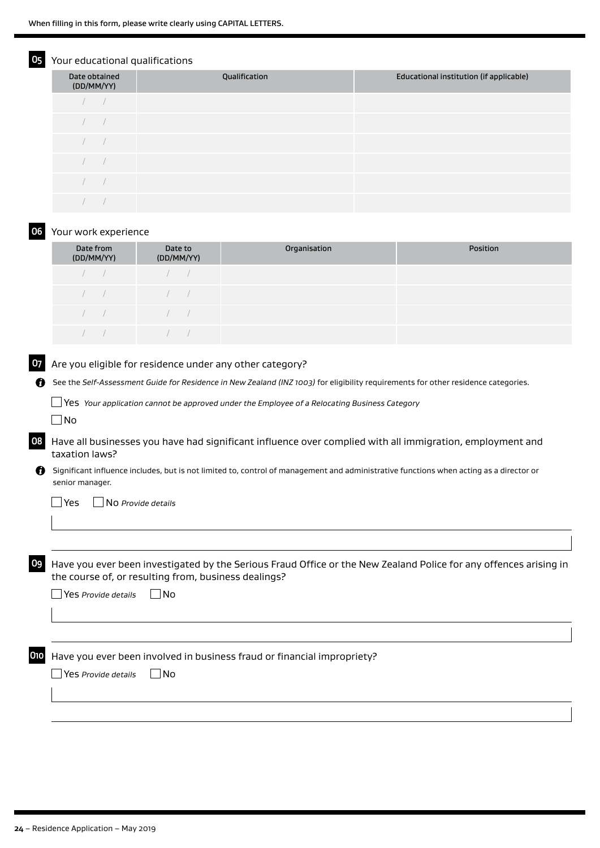## Your educational qualifications

| Date obtained<br>(DD/MM/YY) | Qualification | Educational institution (if applicable) |
|-----------------------------|---------------|-----------------------------------------|
|                             |               |                                         |
|                             |               |                                         |
|                             |               |                                         |
|                             |               |                                         |
|                             |               |                                         |
|                             |               |                                         |

#### **O6** Your work experience

| Date from<br>(DD/MM/YY) | Date to<br>(DD/MM/YY)                                                                                                                                                                                                                                                                                                              | Organisation | <b>Position</b> |
|-------------------------|------------------------------------------------------------------------------------------------------------------------------------------------------------------------------------------------------------------------------------------------------------------------------------------------------------------------------------|--------------|-----------------|
| $\sqrt{2}$              | $\sqrt{2}$                                                                                                                                                                                                                                                                                                                         |              |                 |
| $\sqrt{2}$              | $\sqrt{2}$                                                                                                                                                                                                                                                                                                                         |              |                 |
| $\sqrt{2}$              | $\overline{a}$ and $\overline{a}$ and $\overline{a}$ and $\overline{a}$ and $\overline{a}$ and $\overline{a}$ and $\overline{a}$ and $\overline{a}$ and $\overline{a}$ and $\overline{a}$ and $\overline{a}$ and $\overline{a}$ and $\overline{a}$ and $\overline{a}$ and $\overline{a}$ and $\overline{a}$ and $\overline{a}$ and |              |                 |
|                         |                                                                                                                                                                                                                                                                                                                                    |              |                 |

## **O7** Are you eligible for residence under any other category?

See the *Self-Assessment Guide for Residence in New Zealand (INZ 1003)* for eligibility requirements for other residence categories.

Yes *Your application cannot be approved under the Employee of a Relocating Business Category*

 $\Box$ No

**O8** Have all businesses you have had significant influence over complied with all immigration, employment and taxation laws?

Significant influence includes, but is not limited to, control of management and administrative functions when acting as a director or senior manager.

Yes No *Provide details*

**O9** Have you ever been investigated by the Serious Fraud Office or the New Zealand Police for any offences arising in the course of, or resulting from, business dealings?

| $\Box$ Yes Provide details | $\Box$ No |
|----------------------------|-----------|
|----------------------------|-----------|

**O10** Have you ever been involved in business fraud or financial impropriety?

Yes *Provide details* No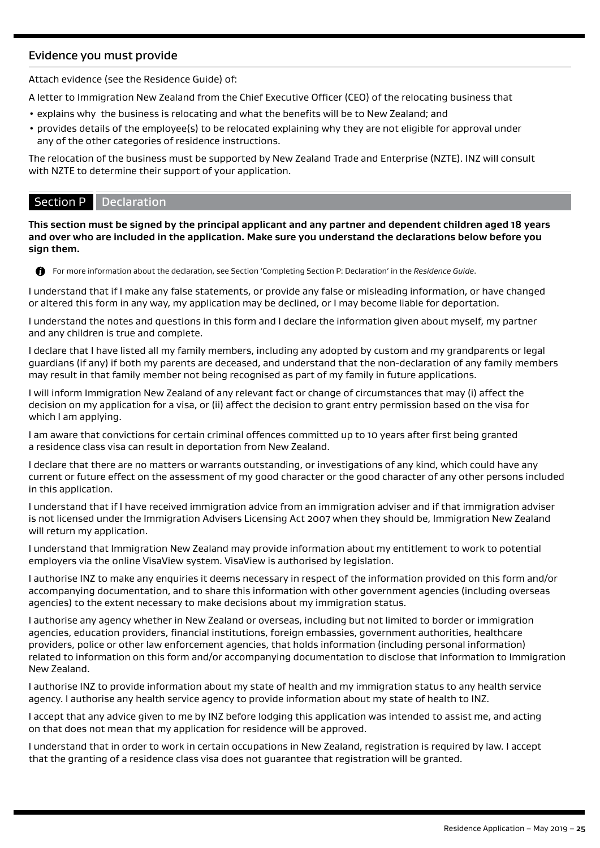# Evidence you must provide

Attach evidence (see the Residence Guide) of:

A letter to Immigration New Zealand from the Chief Executive Officer (CEO) of the relocating business that

- explains why the business is relocating and what the benefits will be to New Zealand; and
- provides details of the employee(s) to be relocated explaining why they are not eligible for approval under any of the other categories of residence instructions.

The relocation of the business must be supported by New Zealand Trade and Enterprise (NZTE). INZ will consult with NZTE to determine their support of your application.

# Section P Declaration

**This section must be signed by the principal applicant and any partner and dependent children aged 18 years and over who are included in the application. Make sure you understand the declarations below before you sign them.**



For more information about the declaration, see Section 'Completing Section P: Declaration' in the *Residence Guide*.

I understand that if I make any false statements, or provide any false or misleading information, or have changed or altered this form in any way, my application may be declined, or I may become liable for deportation.

I understand the notes and questions in this form and I declare the information given about myself, my partner and any children is true and complete.

I declare that I have listed all my family members, including any adopted by custom and my grandparents or legal guardians (if any) if both my parents are deceased, and understand that the non-declaration of any family members may result in that family member not being recognised as part of my family in future applications.

I will inform Immigration New Zealand of any relevant fact or change of circumstances that may (i) affect the decision on my application for a visa, or (ii) affect the decision to grant entry permission based on the visa for which I am applying.

I am aware that convictions for certain criminal offences committed up to 10 years after first being granted a residence class visa can result in deportation from New Zealand.

I declare that there are no matters or warrants outstanding, or investigations of any kind, which could have any current or future effect on the assessment of my good character or the good character of any other persons included in this application.

I understand that if I have received immigration advice from an immigration adviser and if that immigration adviser is not licensed under the Immigration Advisers Licensing Act 2007 when they should be, Immigration New Zealand will return my application.

I understand that Immigration New Zealand may provide information about my entitlement to work to potential employers via the online VisaView system. VisaView is authorised by legislation.

I authorise INZ to make any enquiries it deems necessary in respect of the information provided on this form and/or accompanying documentation, and to share this information with other government agencies (including overseas agencies) to the extent necessary to make decisions about my immigration status.

I authorise any agency whether in New Zealand or overseas, including but not limited to border or immigration agencies, education providers, financial institutions, foreign embassies, government authorities, healthcare providers, police or other law enforcement agencies, that holds information (including personal information) related to information on this form and/or accompanying documentation to disclose that information to Immigration New Zealand.

I authorise INZ to provide information about my state of health and my immigration status to any health service agency. I authorise any health service agency to provide information about my state of health to INZ.

I accept that any advice given to me by INZ before lodging this application was intended to assist me, and acting on that does not mean that my application for residence will be approved.

I understand that in order to work in certain occupations in New Zealand, registration is required by law. I accept that the granting of a residence class visa does not guarantee that registration will be granted.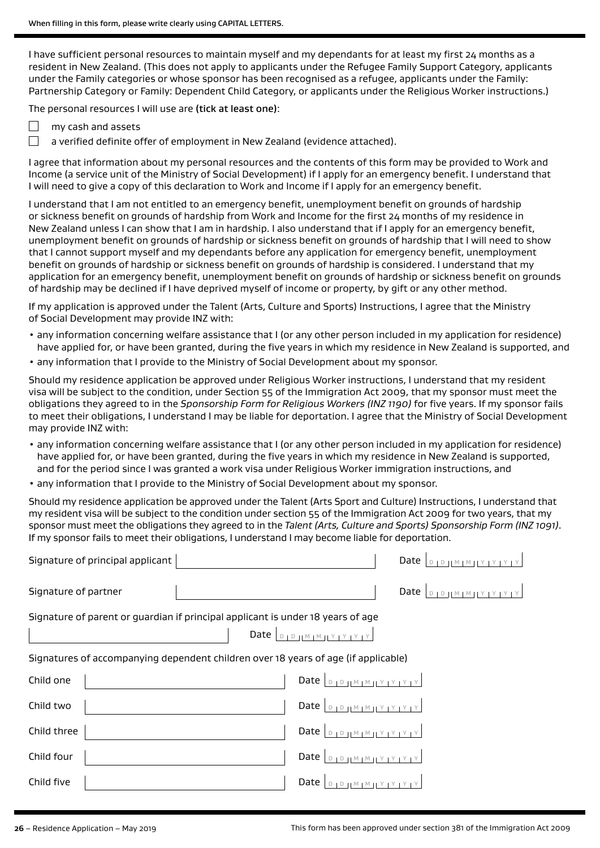I have sufficient personal resources to maintain myself and my dependants for at least my first 24 months as a resident in New Zealand. (This does not apply to applicants under the Refugee Family Support Category, applicants under the Family categories or whose sponsor has been recognised as a refugee, applicants under the Family: Partnership Category or Family: Dependent Child Category, or applicants under the Religious Worker instructions.)

The personal resources I will use are (tick at least one):

- П my cash and assets
	- a verified definite offer of employment in New Zealand (evidence attached).

I agree that information about my personal resources and the contents of this form may be provided to Work and Income (a service unit of the Ministry of Social Development) if I apply for an emergency benefit. I understand that I will need to give a copy of this declaration to Work and Income if I apply for an emergency benefit.

I understand that I am not entitled to an emergency benefit, unemployment benefit on grounds of hardship or sickness benefit on grounds of hardship from Work and Income for the first 24 months of my residence in New Zealand unless I can show that I am in hardship. I also understand that if I apply for an emergency benefit, unemployment benefit on grounds of hardship or sickness benefit on grounds of hardship that I will need to show that I cannot support myself and my dependants before any application for emergency benefit, unemployment benefit on grounds of hardship or sickness benefit on grounds of hardship is considered. I understand that my application for an emergency benefit, unemployment benefit on grounds of hardship or sickness benefit on grounds of hardship may be declined if I have deprived myself of income or property, by gift or any other method.

If my application is approved under the Talent (Arts, Culture and Sports) Instructions, I agree that the Ministry of Social Development may provide INZ with:

- any information concerning welfare assistance that I (or any other person included in my application for residence) have applied for, or have been granted, during the five years in which my residence in New Zealand is supported, and
- any information that I provide to the Ministry of Social Development about my sponsor.

Should my residence application be approved under Religious Worker instructions, I understand that my resident visa will be subject to the condition, under Section 55 of the Immigration Act 2009, that my sponsor must meet the obligations they agreed to in the *Sponsorship Form for Religious Workers (INZ 1190)* for five years. If my sponsor fails to meet their obligations, I understand I may be liable for deportation. I agree that the Ministry of Social Development may provide INZ with:

- any information concerning welfare assistance that I (or any other person included in my application for residence) have applied for, or have been granted, during the five years in which my residence in New Zealand is supported, and for the period since I was granted a work visa under Religious Worker immigration instructions, and
- any information that I provide to the Ministry of Social Development about my sponsor.

Should my residence application be approved under the Talent (Arts Sport and Culture) Instructions, I understand that my resident visa will be subject to the condition under section 55 of the Immigration Act 2009 for two years, that my sponsor must meet the obligations they agreed to in the *Talent (Arts, Culture and Sports) Sponsorship Form (INZ 1091)*. If my sponsor fails to meet their obligations, I understand I may become liable for deportation.

| Signature of principal applicant                                                   | Date $ $<br>D   D     M   M   Y   Y   Y   Y   Y                                                                                       |
|------------------------------------------------------------------------------------|---------------------------------------------------------------------------------------------------------------------------------------|
| Signature of partner                                                               |                                                                                                                                       |
| Signature of parent or guardian if principal applicant is under 18 years of age    | Date $\vert_{D+D+ M+ M+ Y+Y+Y} \vert$                                                                                                 |
| Signatures of accompanying dependent children over 18 years of age (if applicable) |                                                                                                                                       |
| Child one                                                                          | Date $\vert_{\mathbb{D}_{1}\mathbb{D}_{1} \mathbb{M}_{1}\mathbb{M}_{1} \mathbb{Y}_{1}\mathbb{Y}_{1} \mathbb{Y}_{1} \mathbb{Y}_{1}}$   |
| Child two                                                                          | Date $\vert_{\mathbb{D}_{1}\mathbb{D}_{1} \mathbb{M}_{1}\mathbb{M}_{1} \mathbb{Y}_{1}\mathbb{Y}_{1} \mathbb{Y}_{1} \mathbb{Y}_{1}}$   |
| Child three                                                                        | Date $\vert_{\mathbb{D}_{1}\mathbb{D}_{1} \mathbb{M}_{1}\mathbb{M}_{1}\mathbb{M}_{1}\mathbb{M}_{1}\mathbb{M}_{1}\mathbb{M}_{1}}\vert$ |
| Child four                                                                         | Date $D_{1}D_{1}M_{1}M_{1}Y_{1}Y_{1}Y_{1}Y$                                                                                           |
| Child five                                                                         | Date $ $<br>$M + M + Y + Y +$                                                                                                         |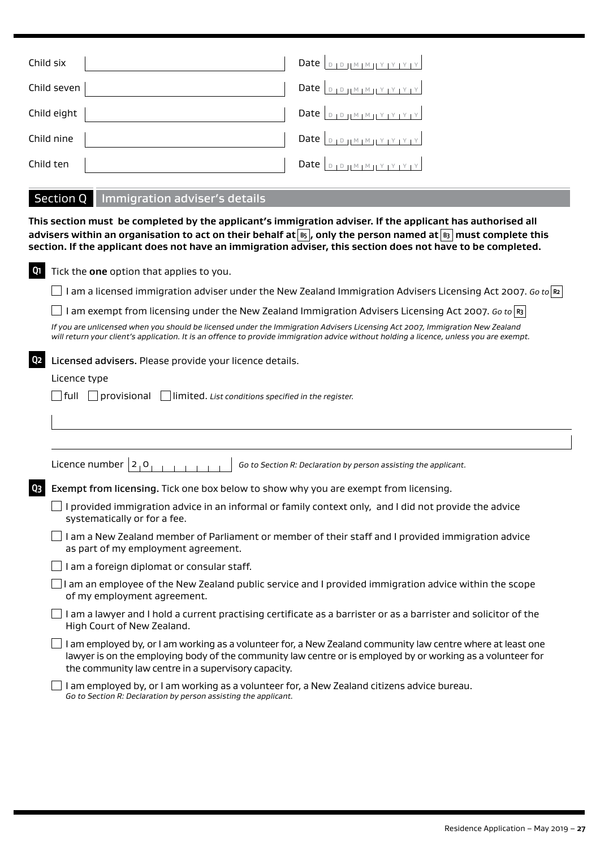| Child six   | Date $\vert_{\text{DIPHMIMIVIVIVIV}}$                                      |
|-------------|----------------------------------------------------------------------------|
| Child seven | Date $\left  \begin{array}{c} 0 & \text{if } m \neq 1 \end{array} \right $ |
| Child eight | Date $\vert_{D+D+ M+M+1 Y+Y+Y} $                                           |
| Child nine  |                                                                            |
| Child ten   |                                                                            |

# Section Q Immigration adviser's details

**This section must be completed by the applicant's immigration adviser. If the applicant has authorised all advisers within an organisation to act on their behalf at B5 , only the person named at B3 must complete this section. If the applicant does not have an immigration adviser, this section does not have to be completed.**

| Q1             | Tick the one option that applies to you.                                                                                                                                                                                                                                          |
|----------------|-----------------------------------------------------------------------------------------------------------------------------------------------------------------------------------------------------------------------------------------------------------------------------------|
|                | I am a licensed immigration adviser under the New Zealand Immigration Advisers Licensing Act 2007. Go to $\approx$                                                                                                                                                                |
|                | am exempt from licensing under the New Zealand Immigration Advisers Licensing Act 2007. Go to $\mathbb{R}^3$                                                                                                                                                                      |
|                | If you are unlicensed when you should be licensed under the Immigration Advisers Licensing Act 2007, Immigration New Zealand<br>will return your client's application. It is an offence to provide immigration advice without holding a licence, unless you are exempt.           |
| Q <sub>2</sub> | Licensed advisers. Please provide your licence details.                                                                                                                                                                                                                           |
|                | Licence type                                                                                                                                                                                                                                                                      |
|                | $\Box$ full $\Box$ provisional $\Box$ limited. List conditions specified in the register.                                                                                                                                                                                         |
|                |                                                                                                                                                                                                                                                                                   |
|                |                                                                                                                                                                                                                                                                                   |
|                | Licence number $ 2, 0$<br>Go to Section R: Declaration by person assisting the applicant.                                                                                                                                                                                         |
| Q3             | Exempt from licensing. Tick one box below to show why you are exempt from licensing.                                                                                                                                                                                              |
|                | I provided immigration advice in an informal or family context only, and I did not provide the advice<br>systematically or for a fee.                                                                                                                                             |
|                | I am a New Zealand member of Parliament or member of their staff and I provided immigration advice<br>as part of my employment agreement.                                                                                                                                         |
|                | I am a foreign diplomat or consular staff.                                                                                                                                                                                                                                        |
|                | I am an employee of the New Zealand public service and I provided immigration advice within the scope<br>of my employment agreement.                                                                                                                                              |
|                | I am a lawyer and I hold a current practising certificate as a barrister or as a barrister and solicitor of the<br>High Court of New Zealand.                                                                                                                                     |
|                | I am employed by, or I am working as a volunteer for, a New Zealand community law centre where at least one<br>lawyer is on the employing body of the community law centre or is employed by or working as a volunteer for<br>the community law centre in a supervisory capacity. |
|                | I am employed by, or I am working as a volunteer for, a New Zealand citizens advice bureau.<br>Go to Section R: Declaration by person assisting the applicant.                                                                                                                    |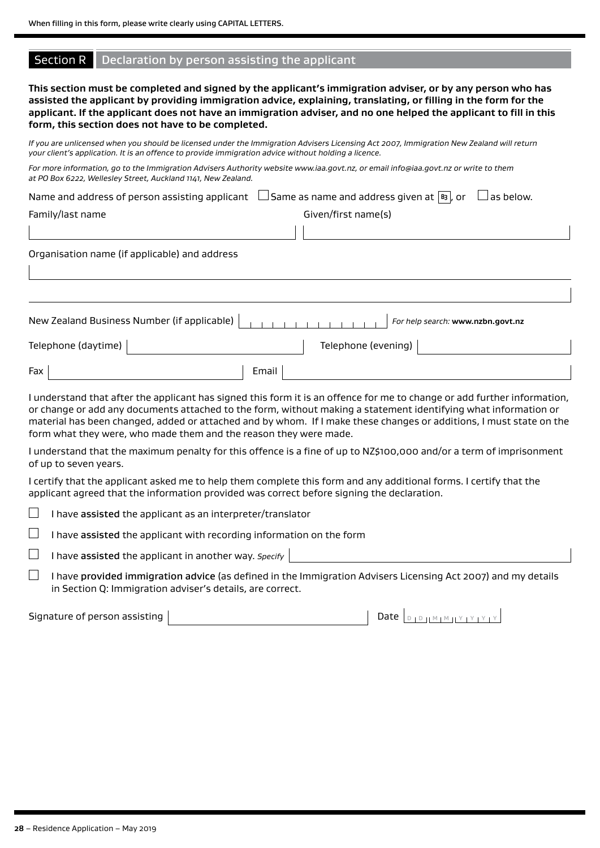## Section R Declaration by person assisting the applicant

**This section must be completed and signed by the applicant's immigration adviser, or by any person who has assisted the applicant by providing immigration advice, explaining, translating, or filling in the form for the applicant. If the applicant does not have an immigration adviser, and no one helped the applicant to fill in this form, this section does not have to be completed.**

*If you are unlicensed when you should be licensed under the Immigration Advisers Licensing Act 2007, Immigration New Zealand will return your client's application. It is an offence to provide immigration advice without holding a licence.*

| For more information, go to the Immigration Advisers Authority website www.iaa.govt.nz, or email info@iaa.govt.nz or write to them |  |
|------------------------------------------------------------------------------------------------------------------------------------|--|
| at PO Box 6222, Wellesley Street, Auckland 1141, New Zealand.                                                                      |  |

|                  | Name and address of person assisting applicant $\Box$ Same as name and address given at $\Box$ , or $\Box$ as below. |  |
|------------------|----------------------------------------------------------------------------------------------------------------------|--|
| Family/last name | Given/first name(s)                                                                                                  |  |

Organisation name (if applicable) and address

|                     | New Zealand Business Number (if applicable) | For help search: www.nzbn.govt.nz |  |
|---------------------|---------------------------------------------|-----------------------------------|--|
| Telephone (daytime) |                                             | Telephone (evening)               |  |
| Fax                 | Email                                       |                                   |  |

I understand that after the applicant has signed this form it is an offence for me to change or add further information, or change or add any documents attached to the form, without making a statement identifying what information or material has been changed, added or attached and by whom. If I make these changes or additions, I must state on the form what they were, who made them and the reason they were made.

I understand that the maximum penalty for this offence is a fine of up to NZ\$100,000 and/or a term of imprisonment of up to seven years.

I certify that the applicant asked me to help them complete this form and any additional forms. I certify that the applicant agreed that the information provided was correct before signing the declaration.

|  | I have assisted the applicant as an interpreter/translator |
|--|------------------------------------------------------------|
|--|------------------------------------------------------------|

 $\Box$ I have assisted the applicant with recording information on the form

 $\Box$ I have assisted the applicant in another way. *Specify*

 $\Box$  I have provided immigration advice (as defined in the Immigration Advisers Licensing Act 2007) and my details in Section Q: Immigration adviser's details, are correct.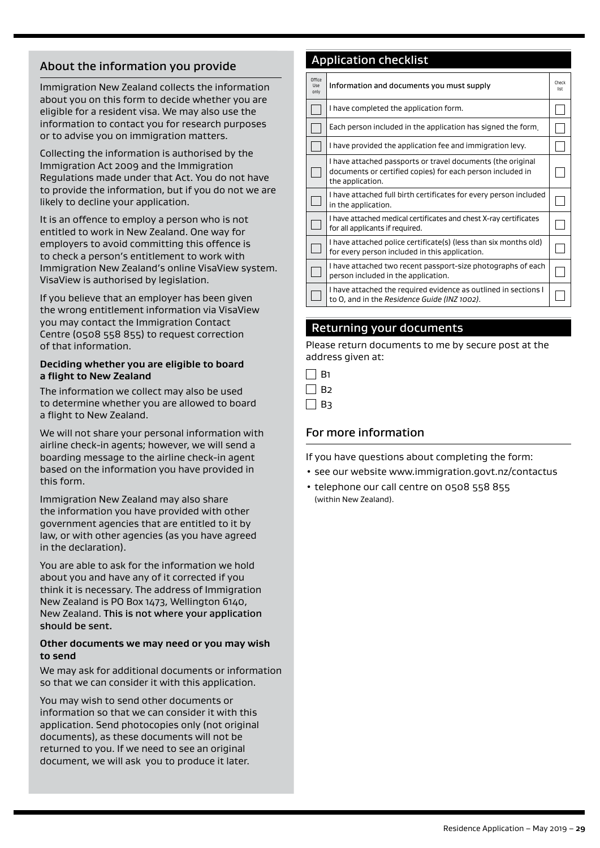# About the information you provide

Immigration New Zealand collects the information about you on this form to decide whether you are eligible for a resident visa. We may also use the information to contact you for research purposes or to advise you on immigration matters.

Collecting the information is authorised by the Immigration Act 2009 and the Immigration Regulations made under that Act. You do not have to provide the information, but if you do not we are likely to decline your application.

It is an offence to employ a person who is not entitled to work in New Zealand. One way for employers to avoid committing this offence is to check a person's entitlement to work with Immigration New Zealand's online VisaView system. VisaView is authorised by legislation.

If you believe that an employer has been given the wrong entitlement information via VisaView you may contact the Immigration Contact Centre (0508 558 855) to request correction of that information.

### **Deciding whether you are eligible to board a flight to New Zealand**

The information we collect may also be used to determine whether you are allowed to board a flight to New Zealand.

We will not share your personal information with airline check-in agents; however, we will send a boarding message to the airline check-in agent based on the information you have provided in this form.

Immigration New Zealand may also share the information you have provided with other government agencies that are entitled to it by law, or with other agencies (as you have agreed in the declaration).

You are able to ask for the information we hold about you and have any of it corrected if you think it is necessary. The address of Immigration New Zealand is PO Box 1473, Wellington 6140, New Zealand. This is not where your application should be sent.

## **Other documents we may need or you may wish to send**

We may ask for additional documents or information so that we can consider it with this application.

You may wish to send other documents or information so that we can consider it with this application. Send photocopies only (not original documents), as these documents will not be returned to you. If we need to see an original document, we will ask you to produce it later.

# Application checklist

| Office<br>Use<br>only | Information and documents you must supply                                                                                                     | Check<br>list |
|-----------------------|-----------------------------------------------------------------------------------------------------------------------------------------------|---------------|
|                       | I have completed the application form.                                                                                                        |               |
|                       | Each person included in the application has signed the form.                                                                                  |               |
|                       | I have provided the application fee and immigration levy.                                                                                     |               |
|                       | I have attached passports or travel documents (the original<br>documents or certified copies) for each person included in<br>the application. |               |
|                       | I have attached full birth certificates for every person included<br>in the application.                                                      |               |
|                       | I have attached medical certificates and chest X-ray certificates<br>for all applicants if required.                                          |               |
|                       | I have attached police certificate(s) (less than six months old)<br>for every person included in this application.                            |               |
|                       | I have attached two recent passport-size photographs of each<br>person included in the application.                                           |               |
|                       | I have attached the required evidence as outlined in sections I<br>to O, and in the Residence Guide (INZ 1002).                               |               |

# Returning your documents

Please return documents to me by secure post at the address given at:

| ×<br>J |
|--------|
|        |

 $\Box$  B<sub>3</sub>

# For more information

If you have questions about completing the form:

- see our website www.immigration.govt.nz/contactus
- telephone our call centre on 0508 558 855 (within New Zealand).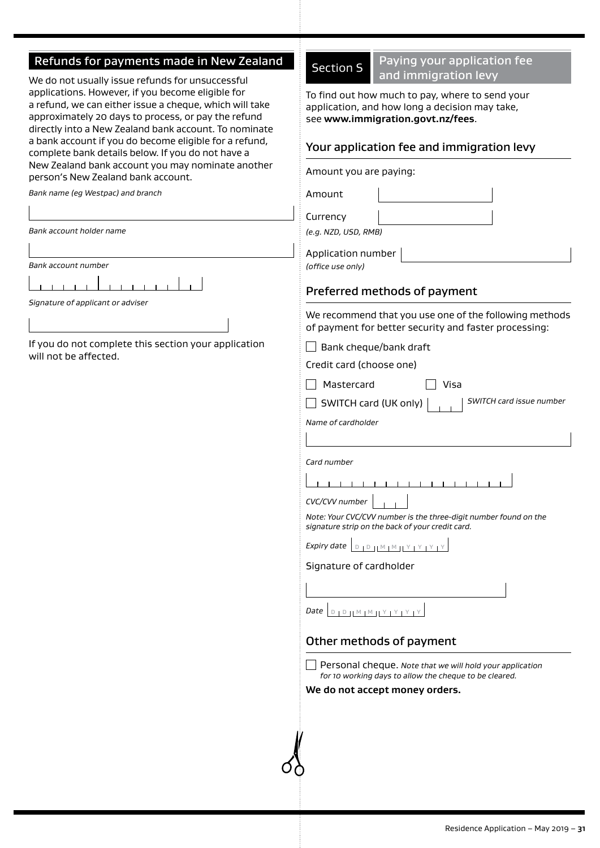# Refunds for payments made in New Zealand

We do not usually issue refunds for unsuccessful applications. However, if you become eligible for a refund, we can either issue a cheque, which will take approximately 20 days to process, or pay the refund directly into a New Zealand bank account. To nominate a bank account if you do become eligible for a refund, complete bank details below. If you do not have a

# New Zealand bank account you may nominate another Amount you are paying: person's New Zealand bank account. *Bank name (eg Westpac) and branch* Amount Currency *Bank account holder name (e.g. NZD, USD, RMB)* Application number *Bank account number (office use only)*  $1 - 1 - 1 - 1$  $-1$   $-1$   $-1$   $-1$ Preferred methods of payment *Signature of applicant or adviser* We recommend that you use one of the following methods of payment for better security and faster processing: If you do not complete this section your application  $\Box$  Bank cheque/bank draft will not be affected. Credit card (choose one)  $\Box$  Mastercard  $\Box$  Visa SWITCH card (UK only) *SWITCH card issue number Name of cardholder Card number* 1 1 1 1 1 1 1 1 1 1 1 1 1 1 *CVC/CVV number Note: Your CVC/CVV number is the three-digit number found on the signature strip on the back of your credit card. Expiry date* <sup>D</sup> <sup>D</sup> <sup>M</sup> <sup>M</sup> <sup>Y</sup> <sup>Y</sup> <sup>Y</sup> <sup>Y</sup> Signature of cardholder **Date** D **D H M M H Y LY LY** Other methods of payment Personal cheque. *Note that we will hold your application for 10 working days to allow the cheque to be cleared.* **We do not accept money orders.**

Section S Paying your application fee and immigration levy

To find out how much to pay, where to send your application, and how long a decision may take, see **www.immigration.govt.nz/fees**.

# Your application fee and immigration levy